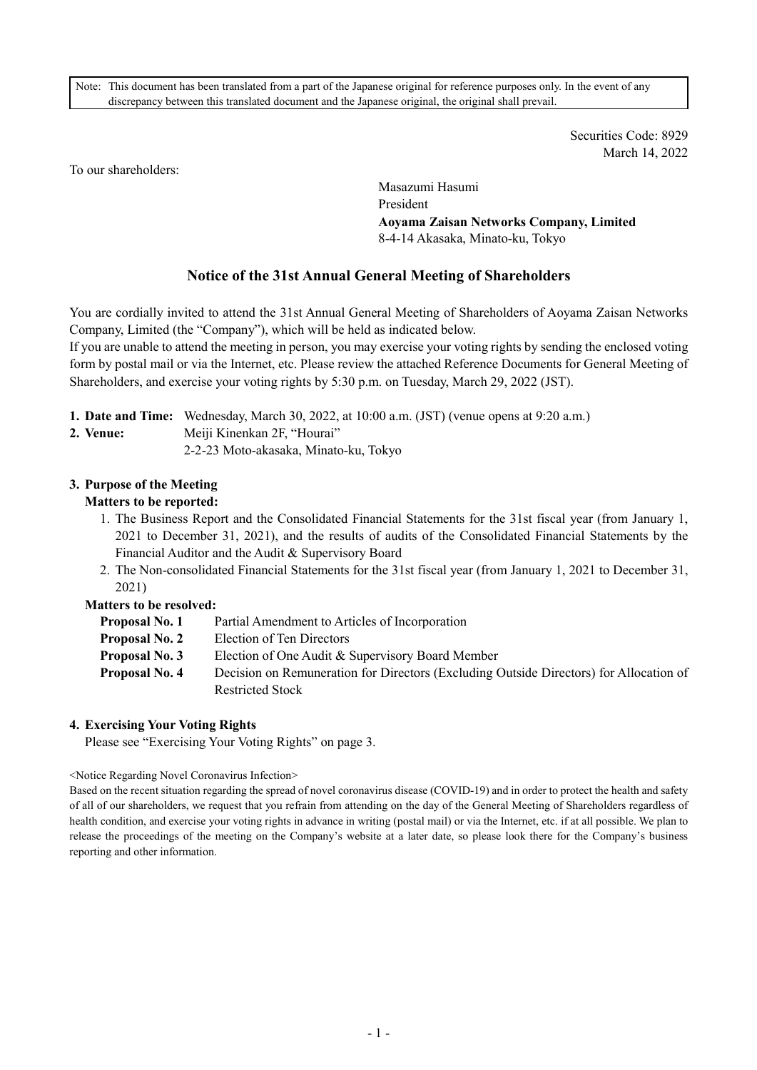Note: This document has been translated from a part of the Japanese original for reference purposes only. In the event of any discrepancy between this translated document and the Japanese original, the original shall prevail.

> Securities Code: 8929 March 14, 2022

To our shareholders:

Masazumi Hasumi President **Aoyama Zaisan Networks Company, Limited**  8-4-14 Akasaka, Minato-ku, Tokyo

# **Notice of the 31st Annual General Meeting of Shareholders**

You are cordially invited to attend the 31st Annual General Meeting of Shareholders of Aoyama Zaisan Networks Company, Limited (the "Company"), which will be held as indicated below.

If you are unable to attend the meeting in person, you may exercise your voting rights by sending the enclosed voting form by postal mail or via the Internet, etc. Please review the attached Reference Documents for General Meeting of Shareholders, and exercise your voting rights by 5:30 p.m. on Tuesday, March 29, 2022 (JST).

|  | 1. Date and Time: Wednesday, March 30, 2022, at 10:00 a.m. (JST) (venue opens at 9:20 a.m.) |
|--|---------------------------------------------------------------------------------------------|
|  |                                                                                             |

- **2. Venue:** Meiji Kinenkan 2F, "Hourai"
	- 2-2-23 Moto-akasaka, Minato-ku, Tokyo

## **3. Purpose of the Meeting**

## **Matters to be reported:**

- 1. The Business Report and the Consolidated Financial Statements for the 31st fiscal year (from January 1, 2021 to December 31, 2021), and the results of audits of the Consolidated Financial Statements by the Financial Auditor and the Audit & Supervisory Board
- 2. The Non-consolidated Financial Statements for the 31st fiscal year (from January 1, 2021 to December 31, 2021)

## **Matters to be resolved:**

| Proposal No. 1 | Partial Amendment to Articles of Incorporation                                         |
|----------------|----------------------------------------------------------------------------------------|
| Proposal No. 2 | Election of Ten Directors                                                              |
| Proposal No. 3 | Election of One Audit & Supervisory Board Member                                       |
| Proposal No. 4 | Decision on Remuneration for Directors (Excluding Outside Directors) for Allocation of |
|                | Restricted Stock                                                                       |

## **4. Exercising Your Voting Rights**

Please see "Exercising Your Voting Rights" on page 3.

#### <Notice Regarding Novel Coronavirus Infection>

Based on the recent situation regarding the spread of novel coronavirus disease (COVID-19) and in order to protect the health and safety of all of our shareholders, we request that you refrain from attending on the day of the General Meeting of Shareholders regardless of health condition, and exercise your voting rights in advance in writing (postal mail) or via the Internet, etc. if at all possible. We plan to release the proceedings of the meeting on the Company's website at a later date, so please look there for the Company's business reporting and other information.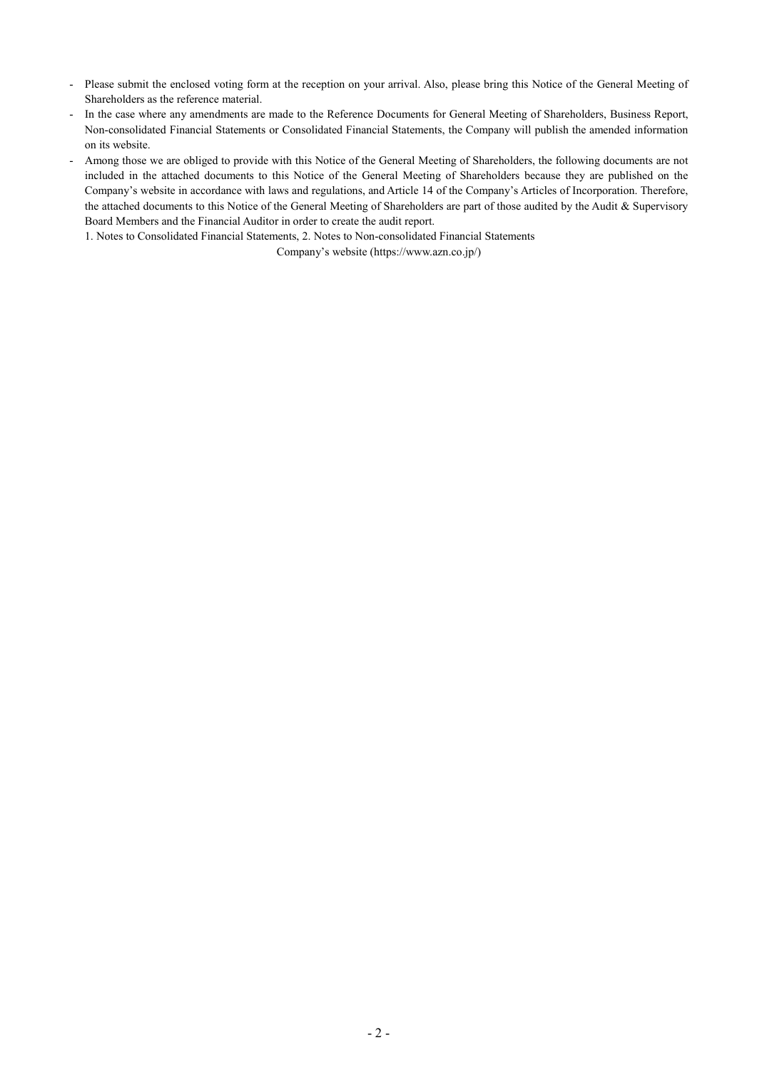- Please submit the enclosed voting form at the reception on your arrival. Also, please bring this Notice of the General Meeting of Shareholders as the reference material.
- In the case where any amendments are made to the Reference Documents for General Meeting of Shareholders, Business Report, Non-consolidated Financial Statements or Consolidated Financial Statements, the Company will publish the amended information on its website.
- Among those we are obliged to provide with this Notice of the General Meeting of Shareholders, the following documents are not included in the attached documents to this Notice of the General Meeting of Shareholders because they are published on the Company's website in accordance with laws and regulations, and Article 14 of the Company's Articles of Incorporation. Therefore, the attached documents to this Notice of the General Meeting of Shareholders are part of those audited by the Audit & Supervisory Board Members and the Financial Auditor in order to create the audit report.

1. Notes to Consolidated Financial Statements, 2. Notes to Non-consolidated Financial Statements

Company's website (https://www.azn.co.jp/)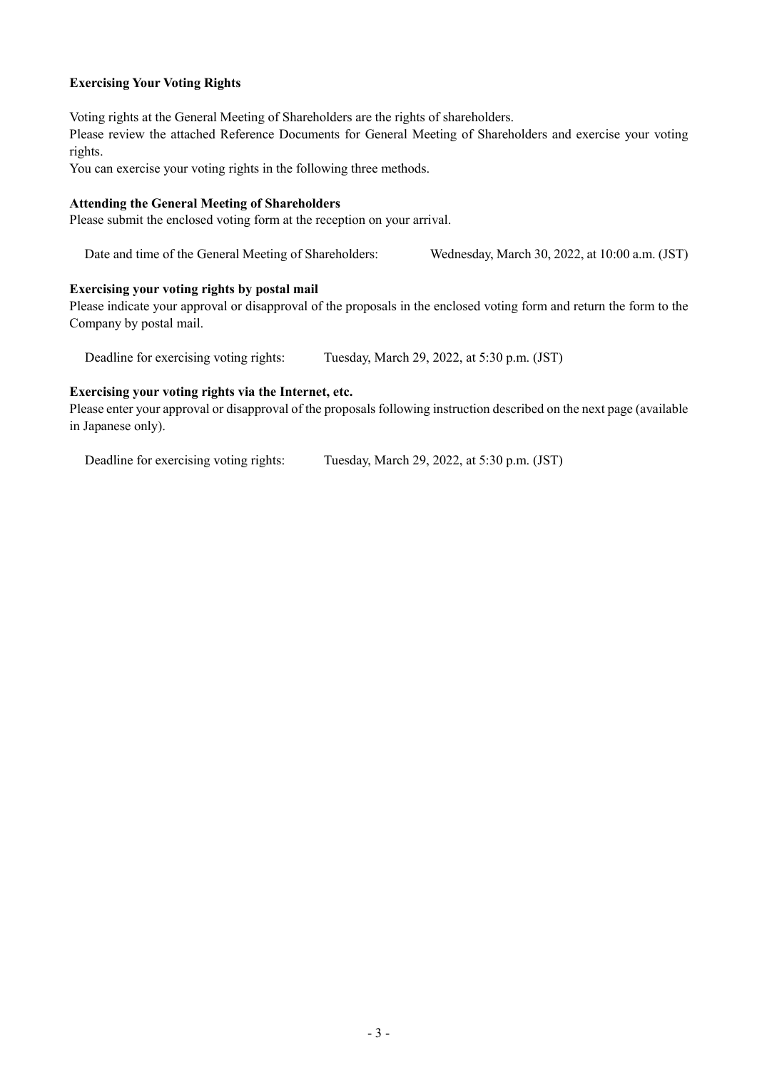## **Exercising Your Voting Rights**

Voting rights at the General Meeting of Shareholders are the rights of shareholders.

Please review the attached Reference Documents for General Meeting of Shareholders and exercise your voting rights.

You can exercise your voting rights in the following three methods.

#### **Attending the General Meeting of Shareholders**

Please submit the enclosed voting form at the reception on your arrival.

Date and time of the General Meeting of Shareholders: Wednesday, March 30, 2022, at 10:00 a.m. (JST)

#### **Exercising your voting rights by postal mail**

Please indicate your approval or disapproval of the proposals in the enclosed voting form and return the form to the Company by postal mail.

Deadline for exercising voting rights: Tuesday, March 29, 2022, at 5:30 p.m. (JST)

#### **Exercising your voting rights via the Internet, etc.**

Please enter your approval or disapproval of the proposals following instruction described on the next page (available in Japanese only).

Deadline for exercising voting rights: Tuesday, March 29, 2022, at 5:30 p.m. (JST)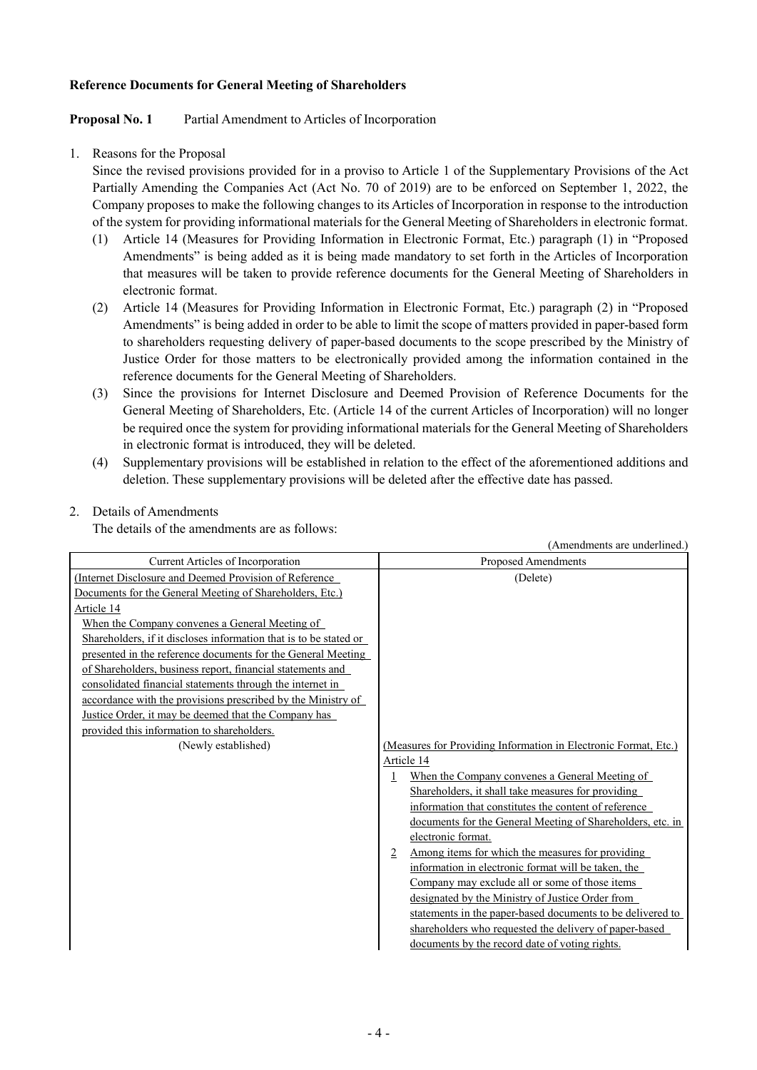#### **Reference Documents for General Meeting of Shareholders**

#### **Proposal No. 1** Partial Amendment to Articles of Incorporation

1. Reasons for the Proposal

Since the revised provisions provided for in a proviso to Article 1 of the Supplementary Provisions of the Act Partially Amending the Companies Act (Act No. 70 of 2019) are to be enforced on September 1, 2022, the Company proposes to make the following changes to its Articles of Incorporation in response to the introduction of the system for providing informational materials for the General Meeting of Shareholders in electronic format.

- (1) Article 14 (Measures for Providing Information in Electronic Format, Etc.) paragraph (1) in "Proposed Amendments" is being added as it is being made mandatory to set forth in the Articles of Incorporation that measures will be taken to provide reference documents for the General Meeting of Shareholders in electronic format.
- (2) Article 14 (Measures for Providing Information in Electronic Format, Etc.) paragraph (2) in "Proposed Amendments" is being added in order to be able to limit the scope of matters provided in paper-based form to shareholders requesting delivery of paper-based documents to the scope prescribed by the Ministry of Justice Order for those matters to be electronically provided among the information contained in the reference documents for the General Meeting of Shareholders.
- (3) Since the provisions for Internet Disclosure and Deemed Provision of Reference Documents for the General Meeting of Shareholders, Etc. (Article 14 of the current Articles of Incorporation) will no longer be required once the system for providing informational materials for the General Meeting of Shareholders in electronic format is introduced, they will be deleted.
- (4) Supplementary provisions will be established in relation to the effect of the aforementioned additions and deletion. These supplementary provisions will be deleted after the effective date has passed.

## 2. Details of Amendments

The details of the amendments are as follows:

|                                                                   | (Amendments are underlined.)                                    |
|-------------------------------------------------------------------|-----------------------------------------------------------------|
| <b>Current Articles of Incorporation</b>                          | <b>Proposed Amendments</b>                                      |
| (Internet Disclosure and Deemed Provision of Reference)           | (Delete)                                                        |
| Documents for the General Meeting of Shareholders, Etc.)          |                                                                 |
| Article 14                                                        |                                                                 |
| When the Company convenes a General Meeting of                    |                                                                 |
| Shareholders, if it discloses information that is to be stated or |                                                                 |
| presented in the reference documents for the General Meeting      |                                                                 |
| of Shareholders, business report, financial statements and        |                                                                 |
| consolidated financial statements through the internet in         |                                                                 |
| accordance with the provisions prescribed by the Ministry of      |                                                                 |
| Justice Order, it may be deemed that the Company has              |                                                                 |
| provided this information to shareholders.                        |                                                                 |
| (Newly established)                                               | (Measures for Providing Information in Electronic Format, Etc.) |
|                                                                   | Article 14                                                      |
|                                                                   | When the Company convenes a General Meeting of<br>1             |
|                                                                   | Shareholders, it shall take measures for providing              |
|                                                                   | information that constitutes the content of reference           |
|                                                                   | documents for the General Meeting of Shareholders, etc. in      |
|                                                                   | electronic format.                                              |
|                                                                   | Among items for which the measures for providing<br>2           |
|                                                                   | information in electronic format will be taken, the             |
|                                                                   | Company may exclude all or some of those items                  |
|                                                                   | designated by the Ministry of Justice Order from                |
|                                                                   | statements in the paper-based documents to be delivered to      |
|                                                                   | shareholders who requested the delivery of paper-based          |
|                                                                   | documents by the record date of voting rights.                  |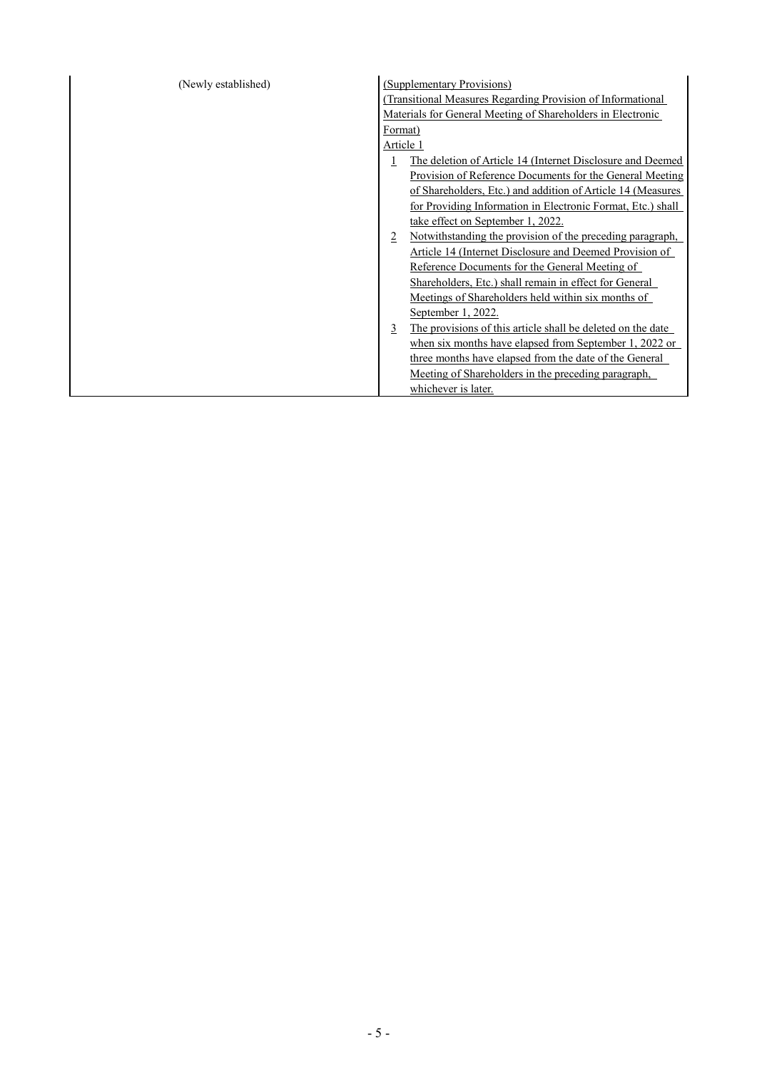| (Newly established) | (Supplementary Provisions)                                              |
|---------------------|-------------------------------------------------------------------------|
|                     | (Transitional Measures Regarding Provision of Informational             |
|                     | Materials for General Meeting of Shareholders in Electronic             |
|                     | Format)                                                                 |
|                     | Article 1                                                               |
|                     | The deletion of Article 14 (Internet Disclosure and Deemed<br>1         |
|                     | Provision of Reference Documents for the General Meeting                |
|                     | of Shareholders, Etc.) and addition of Article 14 (Measures             |
|                     | for Providing Information in Electronic Format, Etc.) shall             |
|                     | take effect on September 1, 2022.                                       |
|                     | Notwithstanding the provision of the preceding paragraph,<br>2          |
|                     | Article 14 (Internet Disclosure and Deemed Provision of                 |
|                     | Reference Documents for the General Meeting of                          |
|                     | Shareholders, Etc.) shall remain in effect for General                  |
|                     | Meetings of Shareholders held within six months of                      |
|                     | September 1, 2022.                                                      |
|                     | The provisions of this article shall be deleted on the date<br><u>3</u> |
|                     | when six months have elapsed from September 1, 2022 or                  |
|                     | three months have elapsed from the date of the General                  |
|                     | Meeting of Shareholders in the preceding paragraph,                     |
|                     | whichever is later.                                                     |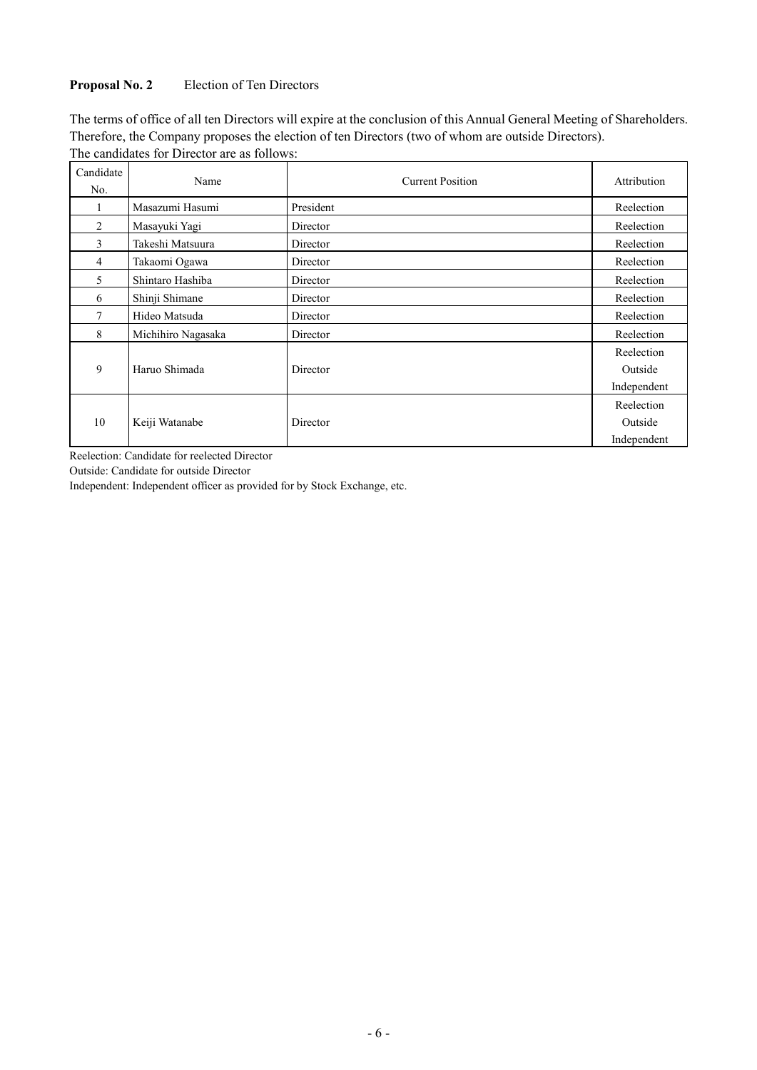## **Proposal No. 2** Election of Ten Directors

The terms of office of all ten Directors will expire at the conclusion of this Annual General Meeting of Shareholders. Therefore, the Company proposes the election of ten Directors (two of whom are outside Directors).

٦

| Candidate<br>No. | Name               | <b>Current Position</b> | Attribution                          |
|------------------|--------------------|-------------------------|--------------------------------------|
|                  | Masazumi Hasumi    | President               | Reelection                           |
| 2                | Masayuki Yagi      | Director                | Reelection                           |
| 3                | Takeshi Matsuura   | Director                | Reelection                           |
| 4                | Takaomi Ogawa      | Director                | Reelection                           |
| 5                | Shintaro Hashiba   | Director                | Reelection                           |
| 6                | Shinji Shimane     | Director                | Reelection                           |
| 7                | Hideo Matsuda      | Director                | Reelection                           |
| 8                | Michihiro Nagasaka | Director                | Reelection                           |
| 9                | Haruo Shimada      | Director                | Reelection<br>Outside<br>Independent |
| 10               | Keiji Watanabe     | Director                | Reelection<br>Outside<br>Independent |

The candidates for Director are as follows:

Reelection: Candidate for reelected Director

Outside: Candidate for outside Director

Independent: Independent officer as provided for by Stock Exchange, etc.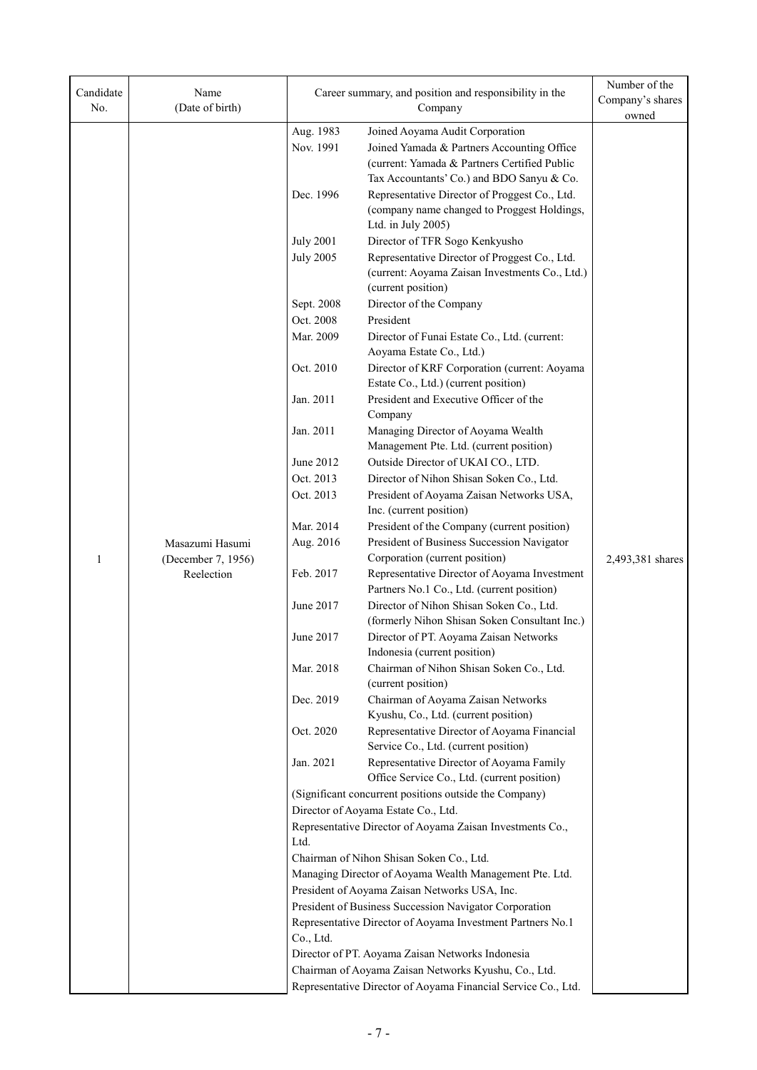| Candidate<br>No. | Name<br>(Date of birth) |                                               | Career summary, and position and responsibility in the<br>Company                                                     | Number of the<br>Company's shares<br>owned |  |
|------------------|-------------------------|-----------------------------------------------|-----------------------------------------------------------------------------------------------------------------------|--------------------------------------------|--|
|                  |                         | Aug. 1983                                     | Joined Aoyama Audit Corporation                                                                                       |                                            |  |
|                  |                         | Nov. 1991                                     | Joined Yamada & Partners Accounting Office                                                                            |                                            |  |
|                  |                         |                                               | (current: Yamada & Partners Certified Public                                                                          |                                            |  |
|                  |                         |                                               | Tax Accountants' Co.) and BDO Sanyu & Co.                                                                             |                                            |  |
|                  |                         | Dec. 1996                                     | Representative Director of Proggest Co., Ltd.                                                                         |                                            |  |
|                  |                         |                                               | (company name changed to Proggest Holdings,                                                                           |                                            |  |
|                  |                         |                                               | Ltd. in July 2005)                                                                                                    |                                            |  |
|                  |                         | <b>July 2001</b>                              | Director of TFR Sogo Kenkyusho                                                                                        |                                            |  |
|                  |                         | <b>July 2005</b>                              | Representative Director of Proggest Co., Ltd.                                                                         |                                            |  |
|                  |                         |                                               | (current: Aoyama Zaisan Investments Co., Ltd.)                                                                        |                                            |  |
|                  |                         |                                               | (current position)                                                                                                    |                                            |  |
|                  |                         | Sept. 2008                                    | Director of the Company                                                                                               |                                            |  |
|                  |                         | Oct. 2008                                     | President                                                                                                             |                                            |  |
|                  |                         | Mar. 2009                                     | Director of Funai Estate Co., Ltd. (current:                                                                          |                                            |  |
|                  |                         |                                               | Aoyama Estate Co., Ltd.)                                                                                              |                                            |  |
|                  |                         | Oct. 2010                                     | Director of KRF Corporation (current: Aoyama                                                                          |                                            |  |
|                  |                         |                                               | Estate Co., Ltd.) (current position)                                                                                  |                                            |  |
|                  |                         | Jan. 2011                                     | President and Executive Officer of the<br>Company                                                                     |                                            |  |
|                  |                         | Jan. 2011                                     | Managing Director of Aoyama Wealth                                                                                    |                                            |  |
|                  |                         |                                               | Management Pte. Ltd. (current position)                                                                               |                                            |  |
|                  |                         | June 2012                                     | Outside Director of UKAI CO., LTD.                                                                                    |                                            |  |
|                  |                         | Oct. 2013                                     | Director of Nihon Shisan Soken Co., Ltd.                                                                              |                                            |  |
|                  |                         | Oct. 2013                                     | President of Aoyama Zaisan Networks USA,                                                                              |                                            |  |
|                  |                         |                                               | Inc. (current position)                                                                                               |                                            |  |
|                  |                         | Mar. 2014                                     | President of the Company (current position)                                                                           |                                            |  |
|                  | Masazumi Hasumi         | Aug. 2016                                     | President of Business Succession Navigator                                                                            |                                            |  |
| $\mathbf{1}$     | (December 7, 1956)      |                                               | Corporation (current position)                                                                                        | 2,493,381 shares                           |  |
|                  | Reelection              | Feb. 2017                                     | Representative Director of Aoyama Investment                                                                          |                                            |  |
|                  |                         | June 2017                                     | Partners No.1 Co., Ltd. (current position)<br>Director of Nihon Shisan Soken Co., Ltd.                                |                                            |  |
|                  |                         |                                               | (formerly Nihon Shisan Soken Consultant Inc.)                                                                         |                                            |  |
|                  |                         | June 2017                                     | Director of PT. Aoyama Zaisan Networks                                                                                |                                            |  |
|                  |                         |                                               | Indonesia (current position)                                                                                          |                                            |  |
|                  |                         | Mar. 2018                                     | Chairman of Nihon Shisan Soken Co., Ltd.                                                                              |                                            |  |
|                  |                         |                                               | (current position)                                                                                                    |                                            |  |
|                  |                         | Dec. 2019                                     | Chairman of Aoyama Zaisan Networks                                                                                    |                                            |  |
|                  |                         |                                               | Kyushu, Co., Ltd. (current position)                                                                                  |                                            |  |
|                  |                         | Oct. 2020                                     | Representative Director of Aoyama Financial<br>Service Co., Ltd. (current position)                                   |                                            |  |
|                  |                         | Jan. 2021                                     | Representative Director of Aoyama Family                                                                              |                                            |  |
|                  |                         |                                               | Office Service Co., Ltd. (current position)                                                                           |                                            |  |
|                  |                         |                                               | (Significant concurrent positions outside the Company)                                                                |                                            |  |
|                  |                         |                                               | Director of Aoyama Estate Co., Ltd.                                                                                   |                                            |  |
|                  |                         |                                               | Representative Director of Aoyama Zaisan Investments Co.,                                                             |                                            |  |
|                  |                         | Ltd.                                          |                                                                                                                       |                                            |  |
|                  |                         |                                               | Chairman of Nihon Shisan Soken Co., Ltd.                                                                              |                                            |  |
|                  |                         |                                               | Managing Director of Aoyama Wealth Management Pte. Ltd.                                                               |                                            |  |
|                  |                         | President of Aoyama Zaisan Networks USA, Inc. |                                                                                                                       |                                            |  |
|                  |                         |                                               | President of Business Succession Navigator Corporation                                                                |                                            |  |
|                  |                         |                                               | Representative Director of Aoyama Investment Partners No.1                                                            |                                            |  |
|                  |                         | Co., Ltd.                                     |                                                                                                                       |                                            |  |
|                  |                         |                                               | Director of PT. Aoyama Zaisan Networks Indonesia                                                                      |                                            |  |
|                  |                         |                                               | Chairman of Aoyama Zaisan Networks Kyushu, Co., Ltd.<br>Representative Director of Aoyama Financial Service Co., Ltd. |                                            |  |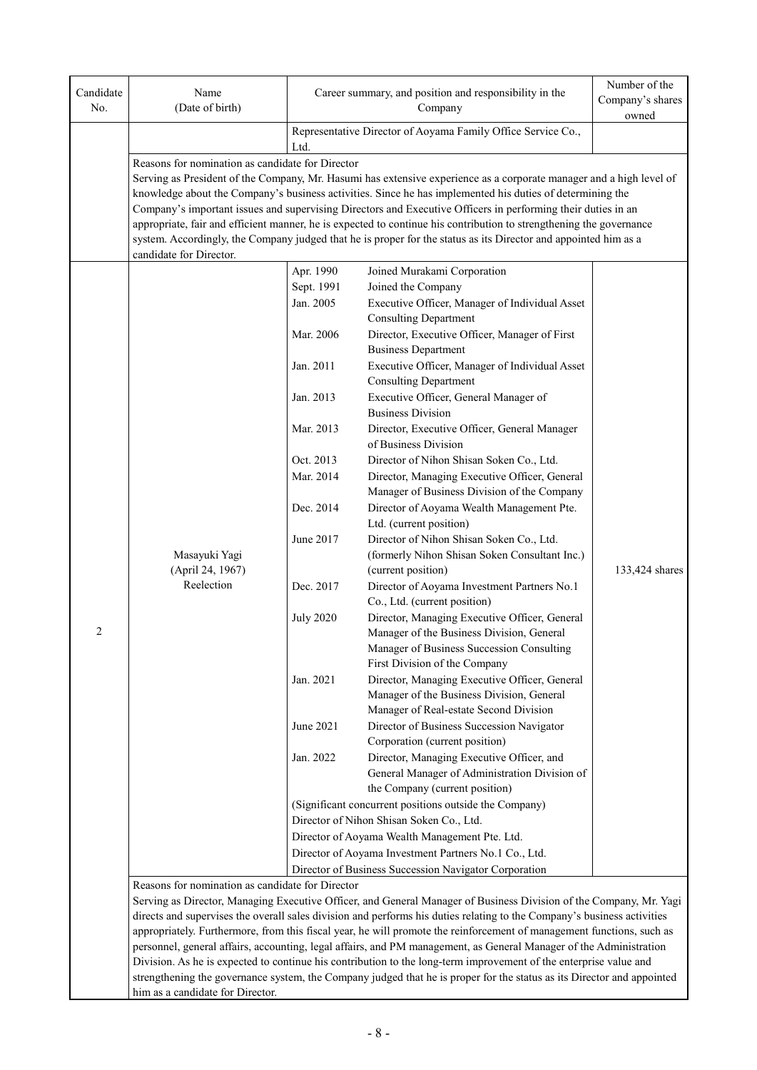| Candidate | Name                                             |                  | Career summary, and position and responsibility in the                                                                  | Number of the<br>Company's shares |
|-----------|--------------------------------------------------|------------------|-------------------------------------------------------------------------------------------------------------------------|-----------------------------------|
| No.       | (Date of birth)                                  |                  | Company                                                                                                                 | owned                             |
|           |                                                  | Ltd.             | Representative Director of Aoyama Family Office Service Co.,                                                            |                                   |
|           | Reasons for nomination as candidate for Director |                  |                                                                                                                         |                                   |
|           |                                                  |                  | Serving as President of the Company, Mr. Hasumi has extensive experience as a corporate manager and a high level of     |                                   |
|           |                                                  |                  | knowledge about the Company's business activities. Since he has implemented his duties of determining the               |                                   |
|           |                                                  |                  | Company's important issues and supervising Directors and Executive Officers in performing their duties in an            |                                   |
|           |                                                  |                  | appropriate, fair and efficient manner, he is expected to continue his contribution to strengthening the governance     |                                   |
|           |                                                  |                  | system. Accordingly, the Company judged that he is proper for the status as its Director and appointed him as a         |                                   |
|           | candidate for Director.                          |                  |                                                                                                                         |                                   |
|           |                                                  | Apr. 1990        | Joined Murakami Corporation                                                                                             |                                   |
|           |                                                  | Sept. 1991       | Joined the Company                                                                                                      |                                   |
|           |                                                  | Jan. 2005        | Executive Officer, Manager of Individual Asset                                                                          |                                   |
|           |                                                  |                  | <b>Consulting Department</b>                                                                                            |                                   |
|           |                                                  | Mar. 2006        | Director, Executive Officer, Manager of First                                                                           |                                   |
|           |                                                  | Jan. 2011        | <b>Business Department</b><br>Executive Officer, Manager of Individual Asset                                            |                                   |
|           |                                                  |                  | <b>Consulting Department</b>                                                                                            |                                   |
|           |                                                  | Jan. 2013        | Executive Officer, General Manager of                                                                                   |                                   |
|           |                                                  |                  | <b>Business Division</b>                                                                                                |                                   |
|           |                                                  | Mar. 2013        | Director, Executive Officer, General Manager                                                                            |                                   |
|           |                                                  |                  | of Business Division                                                                                                    |                                   |
|           |                                                  | Oct. 2013        | Director of Nihon Shisan Soken Co., Ltd.                                                                                |                                   |
|           |                                                  | Mar. 2014        | Director, Managing Executive Officer, General                                                                           |                                   |
|           |                                                  |                  | Manager of Business Division of the Company                                                                             |                                   |
|           |                                                  | Dec. 2014        | Director of Aoyama Wealth Management Pte.                                                                               |                                   |
|           |                                                  |                  | Ltd. (current position)                                                                                                 |                                   |
|           |                                                  | June 2017        | Director of Nihon Shisan Soken Co., Ltd.                                                                                |                                   |
|           | Masayuki Yagi                                    |                  | (formerly Nihon Shisan Soken Consultant Inc.)                                                                           |                                   |
|           | (April 24, 1967)<br>Reelection                   |                  | (current position)                                                                                                      | 133,424 shares                    |
|           |                                                  | Dec. 2017        | Director of Aoyama Investment Partners No.1<br>Co., Ltd. (current position)                                             |                                   |
|           |                                                  | <b>July 2020</b> | Director, Managing Executive Officer, General                                                                           |                                   |
| 2         |                                                  |                  | Manager of the Business Division, General                                                                               |                                   |
|           |                                                  |                  | Manager of Business Succession Consulting                                                                               |                                   |
|           |                                                  |                  | First Division of the Company                                                                                           |                                   |
|           |                                                  | Jan. 2021        | Director, Managing Executive Officer, General                                                                           |                                   |
|           |                                                  |                  | Manager of the Business Division, General                                                                               |                                   |
|           |                                                  |                  | Manager of Real-estate Second Division                                                                                  |                                   |
|           |                                                  | June 2021        | Director of Business Succession Navigator                                                                               |                                   |
|           |                                                  |                  | Corporation (current position)                                                                                          |                                   |
|           |                                                  | Jan. 2022        | Director, Managing Executive Officer, and                                                                               |                                   |
|           |                                                  |                  | General Manager of Administration Division of                                                                           |                                   |
|           |                                                  |                  | the Company (current position)<br>(Significant concurrent positions outside the Company)                                |                                   |
|           |                                                  |                  | Director of Nihon Shisan Soken Co., Ltd.                                                                                |                                   |
|           |                                                  |                  | Director of Aoyama Wealth Management Pte. Ltd.                                                                          |                                   |
|           |                                                  |                  | Director of Aoyama Investment Partners No.1 Co., Ltd.                                                                   |                                   |
|           |                                                  |                  | Director of Business Succession Navigator Corporation                                                                   |                                   |
|           | Reasons for nomination as candidate for Director |                  |                                                                                                                         |                                   |
|           |                                                  |                  | Serving as Director, Managing Executive Officer, and General Manager of Business Division of the Company, Mr. Yagi      |                                   |
|           |                                                  |                  | directs and supervises the overall sales division and performs his duties relating to the Company's business activities |                                   |
|           |                                                  |                  | appropriately. Furthermore, from this fiscal year, he will promote the reinforcement of management functions, such as   |                                   |
|           |                                                  |                  | personnel, general affairs, accounting, legal affairs, and PM management, as General Manager of the Administration      |                                   |
|           |                                                  |                  | Division. As he is expected to continue his contribution to the long-term improvement of the enterprise value and       |                                   |
|           |                                                  |                  | strengthening the governance system, the Company judged that he is proper for the status as its Director and appointed  |                                   |
|           | him as a candidate for Director.                 |                  |                                                                                                                         |                                   |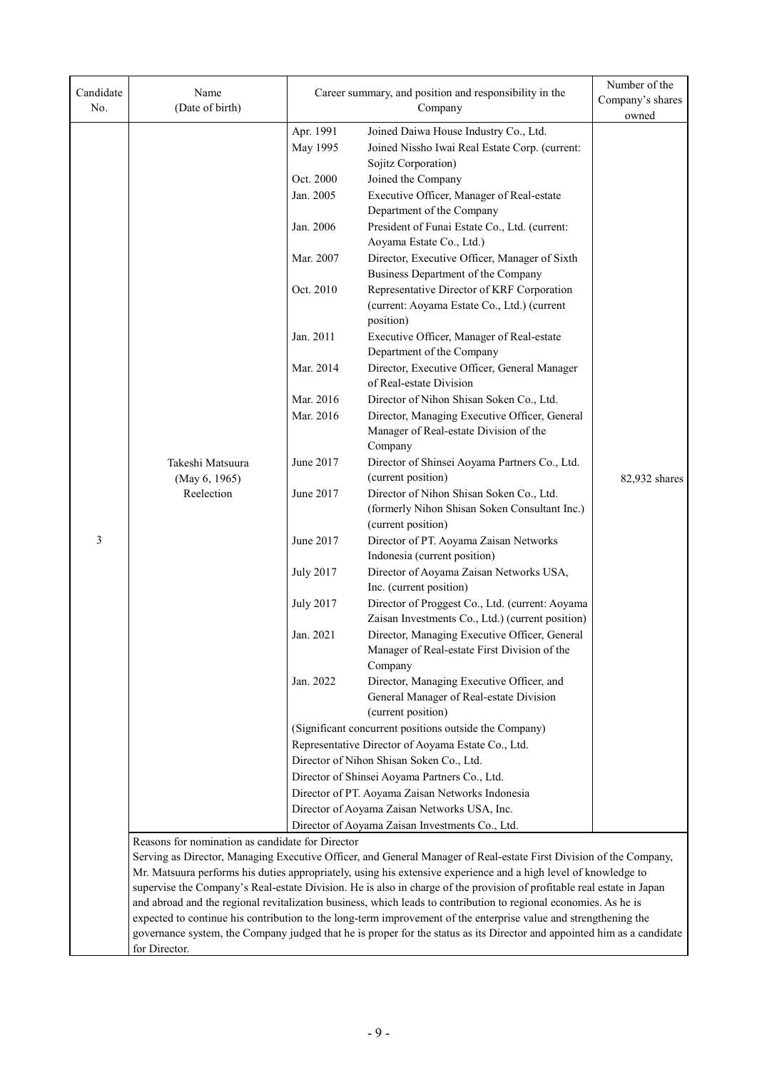| Candidate<br>No. | Name<br>(Date of birth)                          |                                                                                                                                                                                                                                                                                                                                                                                                                                                                                     | Career summary, and position and responsibility in the<br>Company                                                       | Number of the<br>Company's shares<br>owned |
|------------------|--------------------------------------------------|-------------------------------------------------------------------------------------------------------------------------------------------------------------------------------------------------------------------------------------------------------------------------------------------------------------------------------------------------------------------------------------------------------------------------------------------------------------------------------------|-------------------------------------------------------------------------------------------------------------------------|--------------------------------------------|
|                  |                                                  | Apr. 1991                                                                                                                                                                                                                                                                                                                                                                                                                                                                           | Joined Daiwa House Industry Co., Ltd.                                                                                   |                                            |
|                  |                                                  | May 1995                                                                                                                                                                                                                                                                                                                                                                                                                                                                            | Joined Nissho Iwai Real Estate Corp. (current:                                                                          |                                            |
|                  |                                                  |                                                                                                                                                                                                                                                                                                                                                                                                                                                                                     | Sojitz Corporation)                                                                                                     |                                            |
|                  |                                                  | Oct. 2000                                                                                                                                                                                                                                                                                                                                                                                                                                                                           | Joined the Company                                                                                                      |                                            |
|                  |                                                  | Jan. 2005                                                                                                                                                                                                                                                                                                                                                                                                                                                                           | Executive Officer, Manager of Real-estate<br>Department of the Company                                                  |                                            |
|                  |                                                  | Jan. 2006                                                                                                                                                                                                                                                                                                                                                                                                                                                                           | President of Funai Estate Co., Ltd. (current:<br>Aoyama Estate Co., Ltd.)                                               |                                            |
|                  |                                                  | Mar. 2007                                                                                                                                                                                                                                                                                                                                                                                                                                                                           | Director, Executive Officer, Manager of Sixth<br>Business Department of the Company                                     |                                            |
|                  |                                                  | Oct. 2010                                                                                                                                                                                                                                                                                                                                                                                                                                                                           | Representative Director of KRF Corporation<br>(current: Aoyama Estate Co., Ltd.) (current<br>position)                  |                                            |
|                  |                                                  | Jan. 2011                                                                                                                                                                                                                                                                                                                                                                                                                                                                           | Executive Officer, Manager of Real-estate<br>Department of the Company                                                  |                                            |
|                  |                                                  | Mar. 2014                                                                                                                                                                                                                                                                                                                                                                                                                                                                           | Director, Executive Officer, General Manager<br>of Real-estate Division                                                 |                                            |
|                  |                                                  | Mar. 2016                                                                                                                                                                                                                                                                                                                                                                                                                                                                           | Director of Nihon Shisan Soken Co., Ltd.                                                                                |                                            |
|                  |                                                  | Mar. 2016                                                                                                                                                                                                                                                                                                                                                                                                                                                                           | Director, Managing Executive Officer, General<br>Manager of Real-estate Division of the<br>Company                      |                                            |
|                  | Takeshi Matsuura<br>(May 6, 1965)                | June 2017                                                                                                                                                                                                                                                                                                                                                                                                                                                                           | Director of Shinsei Aoyama Partners Co., Ltd.<br>(current position)                                                     | 82,932 shares                              |
|                  | Reelection                                       | June 2017                                                                                                                                                                                                                                                                                                                                                                                                                                                                           | Director of Nihon Shisan Soken Co., Ltd.<br>(formerly Nihon Shisan Soken Consultant Inc.)<br>(current position)         |                                            |
| 3                |                                                  | June 2017                                                                                                                                                                                                                                                                                                                                                                                                                                                                           | Director of PT. Aoyama Zaisan Networks<br>Indonesia (current position)                                                  |                                            |
|                  |                                                  | <b>July 2017</b>                                                                                                                                                                                                                                                                                                                                                                                                                                                                    | Director of Aoyama Zaisan Networks USA,<br>Inc. (current position)                                                      |                                            |
|                  |                                                  | <b>July 2017</b>                                                                                                                                                                                                                                                                                                                                                                                                                                                                    | Director of Proggest Co., Ltd. (current: Aoyama<br>Zaisan Investments Co., Ltd.) (current position)                     |                                            |
|                  |                                                  | Jan. 2021                                                                                                                                                                                                                                                                                                                                                                                                                                                                           | Director, Managing Executive Officer, General<br>Manager of Real-estate First Division of the                           |                                            |
|                  |                                                  | Jan. 2022                                                                                                                                                                                                                                                                                                                                                                                                                                                                           | Company<br>Director, Managing Executive Officer, and                                                                    |                                            |
|                  |                                                  |                                                                                                                                                                                                                                                                                                                                                                                                                                                                                     | General Manager of Real-estate Division                                                                                 |                                            |
|                  |                                                  |                                                                                                                                                                                                                                                                                                                                                                                                                                                                                     | (current position)                                                                                                      |                                            |
|                  |                                                  |                                                                                                                                                                                                                                                                                                                                                                                                                                                                                     | (Significant concurrent positions outside the Company)                                                                  |                                            |
|                  |                                                  |                                                                                                                                                                                                                                                                                                                                                                                                                                                                                     | Representative Director of Aoyama Estate Co., Ltd.                                                                      |                                            |
|                  |                                                  |                                                                                                                                                                                                                                                                                                                                                                                                                                                                                     | Director of Nihon Shisan Soken Co., Ltd.                                                                                |                                            |
|                  |                                                  |                                                                                                                                                                                                                                                                                                                                                                                                                                                                                     | Director of Shinsei Aoyama Partners Co., Ltd.                                                                           |                                            |
|                  |                                                  |                                                                                                                                                                                                                                                                                                                                                                                                                                                                                     | Director of PT. Aoyama Zaisan Networks Indonesia                                                                        |                                            |
|                  |                                                  |                                                                                                                                                                                                                                                                                                                                                                                                                                                                                     | Director of Aoyama Zaisan Networks USA, Inc.                                                                            |                                            |
|                  |                                                  |                                                                                                                                                                                                                                                                                                                                                                                                                                                                                     | Director of Aoyama Zaisan Investments Co., Ltd.                                                                         |                                            |
|                  | Reasons for nomination as candidate for Director | Serving as Director, Managing Executive Officer, and General Manager of Real-estate First Division of the Company,<br>Mr. Matsuura performs his duties appropriately, using his extensive experience and a high level of knowledge to<br>supervise the Company's Real-estate Division. He is also in charge of the provision of profitable real estate in Japan<br>and abroad and the regional revitalization business, which leads to contribution to regional economies. As he is |                                                                                                                         |                                            |
|                  |                                                  |                                                                                                                                                                                                                                                                                                                                                                                                                                                                                     |                                                                                                                         |                                            |
|                  |                                                  |                                                                                                                                                                                                                                                                                                                                                                                                                                                                                     |                                                                                                                         |                                            |
|                  |                                                  |                                                                                                                                                                                                                                                                                                                                                                                                                                                                                     |                                                                                                                         |                                            |
|                  |                                                  |                                                                                                                                                                                                                                                                                                                                                                                                                                                                                     | expected to continue his contribution to the long-term improvement of the enterprise value and strengthening the        |                                            |
|                  |                                                  |                                                                                                                                                                                                                                                                                                                                                                                                                                                                                     | governance system, the Company judged that he is proper for the status as its Director and appointed him as a candidate |                                            |
|                  | for Director.                                    |                                                                                                                                                                                                                                                                                                                                                                                                                                                                                     |                                                                                                                         |                                            |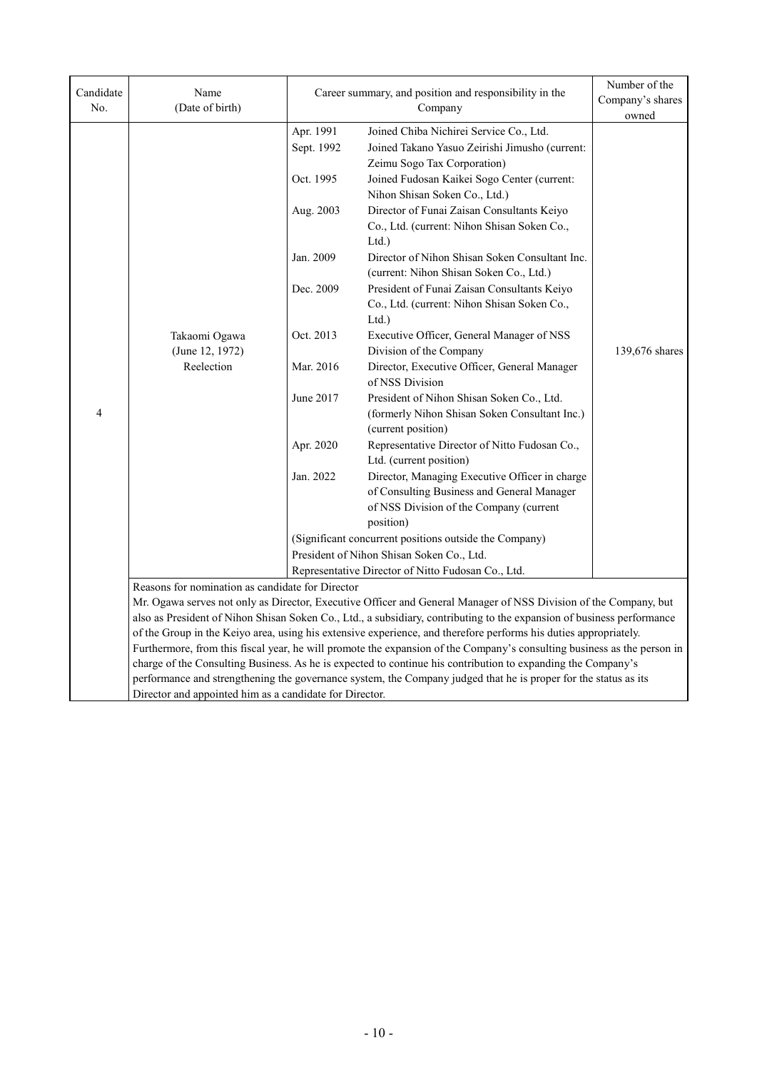| Candidate<br>No. | Name<br>(Date of birth)                                                                                                                                                                                                                 |                                                                                                                                              | Career summary, and position and responsibility in the<br>Company                                                                                                                                                                                                                                                                                                                                                                                                                                                                                                                                                                                                                                                                                                                                                                                                                                                                                                                                       | Number of the<br>Company's shares<br>owned |
|------------------|-----------------------------------------------------------------------------------------------------------------------------------------------------------------------------------------------------------------------------------------|----------------------------------------------------------------------------------------------------------------------------------------------|---------------------------------------------------------------------------------------------------------------------------------------------------------------------------------------------------------------------------------------------------------------------------------------------------------------------------------------------------------------------------------------------------------------------------------------------------------------------------------------------------------------------------------------------------------------------------------------------------------------------------------------------------------------------------------------------------------------------------------------------------------------------------------------------------------------------------------------------------------------------------------------------------------------------------------------------------------------------------------------------------------|--------------------------------------------|
| 4                | Takaomi Ogawa<br>(June 12, 1972)<br>Reelection                                                                                                                                                                                          | Apr. 1991<br>Sept. 1992<br>Oct. 1995<br>Aug. 2003<br>Jan. 2009<br>Dec. 2009<br>Oct. 2013<br>Mar. 2016<br>June 2017<br>Apr. 2020<br>Jan. 2022 | Joined Chiba Nichirei Service Co., Ltd.<br>Joined Takano Yasuo Zeirishi Jimusho (current:<br>Zeimu Sogo Tax Corporation)<br>Joined Fudosan Kaikei Sogo Center (current:<br>Nihon Shisan Soken Co., Ltd.)<br>Director of Funai Zaisan Consultants Keiyo<br>Co., Ltd. (current: Nihon Shisan Soken Co.,<br>Ltd.)<br>Director of Nihon Shisan Soken Consultant Inc.<br>(current: Nihon Shisan Soken Co., Ltd.)<br>President of Funai Zaisan Consultants Keiyo<br>Co., Ltd. (current: Nihon Shisan Soken Co.,<br>Ltd.<br>Executive Officer, General Manager of NSS<br>Division of the Company<br>Director, Executive Officer, General Manager<br>of NSS Division<br>President of Nihon Shisan Soken Co., Ltd.<br>(formerly Nihon Shisan Soken Consultant Inc.)<br>(current position)<br>Representative Director of Nitto Fudosan Co.,<br>Ltd. (current position)<br>Director, Managing Executive Officer in charge<br>of Consulting Business and General Manager<br>of NSS Division of the Company (current | 139,676 shares                             |
|                  |                                                                                                                                                                                                                                         |                                                                                                                                              | position)<br>(Significant concurrent positions outside the Company)<br>President of Nihon Shisan Soken Co., Ltd.                                                                                                                                                                                                                                                                                                                                                                                                                                                                                                                                                                                                                                                                                                                                                                                                                                                                                        |                                            |
|                  |                                                                                                                                                                                                                                         |                                                                                                                                              | Representative Director of Nitto Fudosan Co., Ltd.                                                                                                                                                                                                                                                                                                                                                                                                                                                                                                                                                                                                                                                                                                                                                                                                                                                                                                                                                      |                                            |
|                  | Reasons for nomination as candidate for Director                                                                                                                                                                                        |                                                                                                                                              |                                                                                                                                                                                                                                                                                                                                                                                                                                                                                                                                                                                                                                                                                                                                                                                                                                                                                                                                                                                                         |                                            |
|                  |                                                                                                                                                                                                                                         |                                                                                                                                              | Mr. Ogawa serves not only as Director, Executive Officer and General Manager of NSS Division of the Company, but                                                                                                                                                                                                                                                                                                                                                                                                                                                                                                                                                                                                                                                                                                                                                                                                                                                                                        |                                            |
|                  |                                                                                                                                                                                                                                         | also as President of Nihon Shisan Soken Co., Ltd., a subsidiary, contributing to the expansion of business performance                       |                                                                                                                                                                                                                                                                                                                                                                                                                                                                                                                                                                                                                                                                                                                                                                                                                                                                                                                                                                                                         |                                            |
|                  | of the Group in the Keiyo area, using his extensive experience, and therefore performs his duties appropriately.                                                                                                                        |                                                                                                                                              |                                                                                                                                                                                                                                                                                                                                                                                                                                                                                                                                                                                                                                                                                                                                                                                                                                                                                                                                                                                                         |                                            |
|                  | Furthermore, from this fiscal year, he will promote the expansion of the Company's consulting business as the person in<br>charge of the Consulting Business. As he is expected to continue his contribution to expanding the Company's |                                                                                                                                              |                                                                                                                                                                                                                                                                                                                                                                                                                                                                                                                                                                                                                                                                                                                                                                                                                                                                                                                                                                                                         |                                            |
|                  |                                                                                                                                                                                                                                         |                                                                                                                                              | performance and strengthening the governance system, the Company judged that he is proper for the status as its                                                                                                                                                                                                                                                                                                                                                                                                                                                                                                                                                                                                                                                                                                                                                                                                                                                                                         |                                            |
|                  | Director and appointed him as a candidate for Director.                                                                                                                                                                                 |                                                                                                                                              |                                                                                                                                                                                                                                                                                                                                                                                                                                                                                                                                                                                                                                                                                                                                                                                                                                                                                                                                                                                                         |                                            |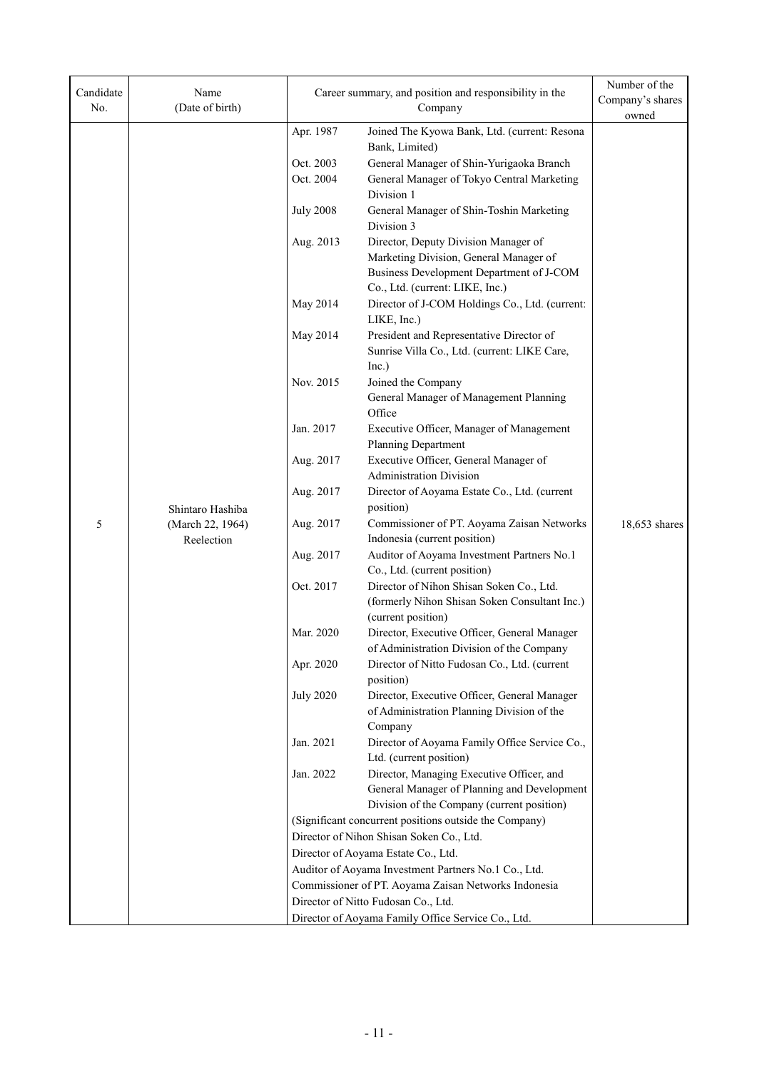| Candidate<br>No. | Name<br>(Date of birth)        |                  | Career summary, and position and responsibility in the<br>Company                                                                                             |               |
|------------------|--------------------------------|------------------|---------------------------------------------------------------------------------------------------------------------------------------------------------------|---------------|
|                  |                                | Apr. 1987        | Joined The Kyowa Bank, Ltd. (current: Resona<br>Bank, Limited)                                                                                                | owned         |
|                  |                                | Oct. 2003        | General Manager of Shin-Yurigaoka Branch                                                                                                                      |               |
|                  |                                | Oct. 2004        | General Manager of Tokyo Central Marketing<br>Division 1                                                                                                      |               |
|                  |                                | <b>July 2008</b> | General Manager of Shin-Toshin Marketing<br>Division 3                                                                                                        |               |
|                  |                                | Aug. 2013        | Director, Deputy Division Manager of<br>Marketing Division, General Manager of<br>Business Development Department of J-COM<br>Co., Ltd. (current: LIKE, Inc.) |               |
|                  |                                | May 2014         | Director of J-COM Holdings Co., Ltd. (current:<br>LIKE, Inc.)                                                                                                 |               |
|                  |                                | May 2014         | President and Representative Director of<br>Sunrise Villa Co., Ltd. (current: LIKE Care,<br>Inc.)                                                             |               |
|                  |                                | Nov. 2015        | Joined the Company<br>General Manager of Management Planning<br>Office                                                                                        |               |
|                  |                                | Jan. 2017        | Executive Officer, Manager of Management<br>Planning Department                                                                                               |               |
|                  |                                | Aug. 2017        | Executive Officer, General Manager of<br><b>Administration Division</b>                                                                                       |               |
|                  | Shintaro Hashiba               | Aug. 2017        | Director of Aoyama Estate Co., Ltd. (current<br>position)                                                                                                     |               |
| 5                | (March 22, 1964)<br>Reelection | Aug. 2017        | Commissioner of PT. Aoyama Zaisan Networks<br>Indonesia (current position)                                                                                    | 18,653 shares |
|                  |                                | Aug. 2017        | Auditor of Aoyama Investment Partners No.1<br>Co., Ltd. (current position)                                                                                    |               |
|                  |                                | Oct. 2017        | Director of Nihon Shisan Soken Co., Ltd.<br>(formerly Nihon Shisan Soken Consultant Inc.)<br>(current position)                                               |               |
|                  |                                | Mar. 2020        | Director, Executive Officer, General Manager<br>of Administration Division of the Company                                                                     |               |
|                  |                                | Apr. 2020        | Director of Nitto Fudosan Co., Ltd. (current<br>position)                                                                                                     |               |
|                  |                                | <b>July 2020</b> | Director, Executive Officer, General Manager<br>of Administration Planning Division of the<br>Company                                                         |               |
|                  |                                | Jan. 2021        | Director of Aoyama Family Office Service Co.,<br>Ltd. (current position)                                                                                      |               |
|                  |                                | Jan. 2022        | Director, Managing Executive Officer, and<br>General Manager of Planning and Development                                                                      |               |
|                  |                                |                  | Division of the Company (current position)                                                                                                                    |               |
|                  |                                |                  | (Significant concurrent positions outside the Company)                                                                                                        |               |
|                  |                                |                  | Director of Nihon Shisan Soken Co., Ltd.                                                                                                                      |               |
|                  |                                |                  | Director of Aoyama Estate Co., Ltd.                                                                                                                           |               |
|                  |                                |                  | Auditor of Aoyama Investment Partners No.1 Co., Ltd.                                                                                                          |               |
|                  |                                |                  | Commissioner of PT. Aoyama Zaisan Networks Indonesia                                                                                                          |               |
|                  |                                |                  | Director of Nitto Fudosan Co., Ltd.                                                                                                                           |               |
|                  |                                |                  | Director of Aoyama Family Office Service Co., Ltd.                                                                                                            |               |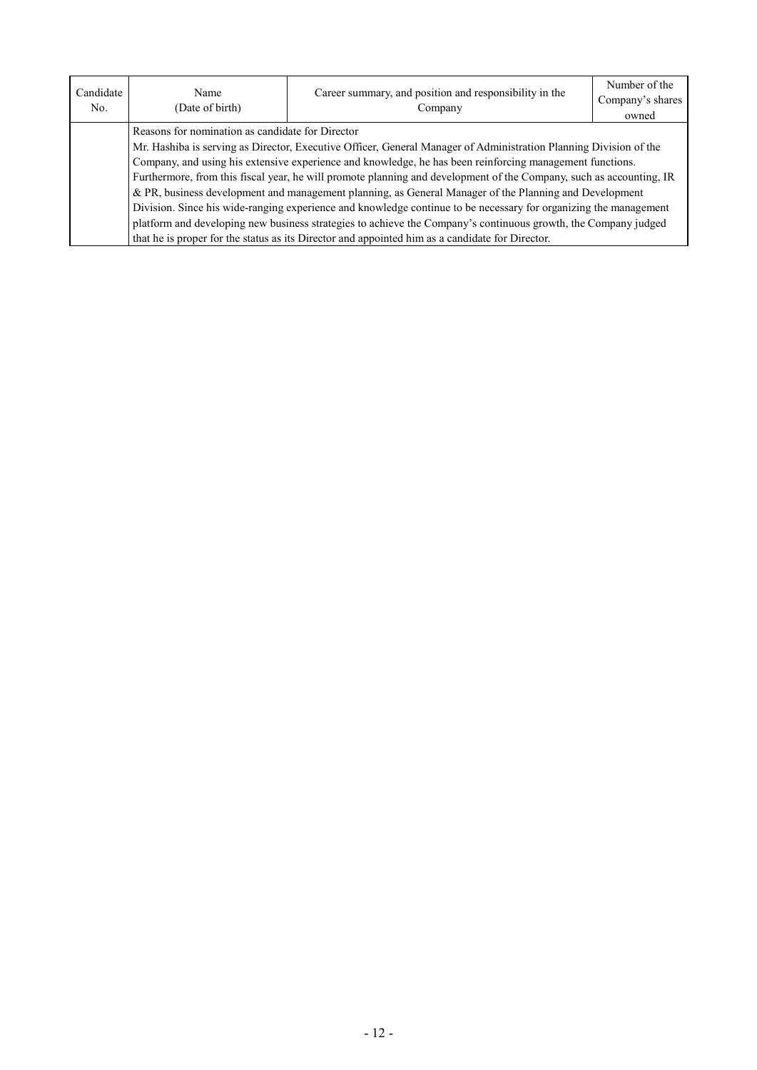| Candidate<br>No. | Name<br>(Date of birth)                                                                                             | Career summary, and position and responsibility in the<br>Company                               | Number of the<br>Company's shares<br>owned |  |
|------------------|---------------------------------------------------------------------------------------------------------------------|-------------------------------------------------------------------------------------------------|--------------------------------------------|--|
|                  | Reasons for nomination as candidate for Director                                                                    |                                                                                                 |                                            |  |
|                  | Mr. Hashiba is serving as Director, Executive Officer, General Manager of Administration Planning Division of the   |                                                                                                 |                                            |  |
|                  | Company, and using his extensive experience and knowledge, he has been reinforcing management functions.            |                                                                                                 |                                            |  |
|                  | Furthermore, from this fiscal year, he will promote planning and development of the Company, such as accounting, IR |                                                                                                 |                                            |  |
|                  | & PR, business development and management planning, as General Manager of the Planning and Development              |                                                                                                 |                                            |  |
|                  | Division. Since his wide-ranging experience and knowledge continue to be necessary for organizing the management    |                                                                                                 |                                            |  |
|                  | platform and developing new business strategies to achieve the Company's continuous growth, the Company judged      |                                                                                                 |                                            |  |
|                  |                                                                                                                     | that he is proper for the status as its Director and appointed him as a candidate for Director. |                                            |  |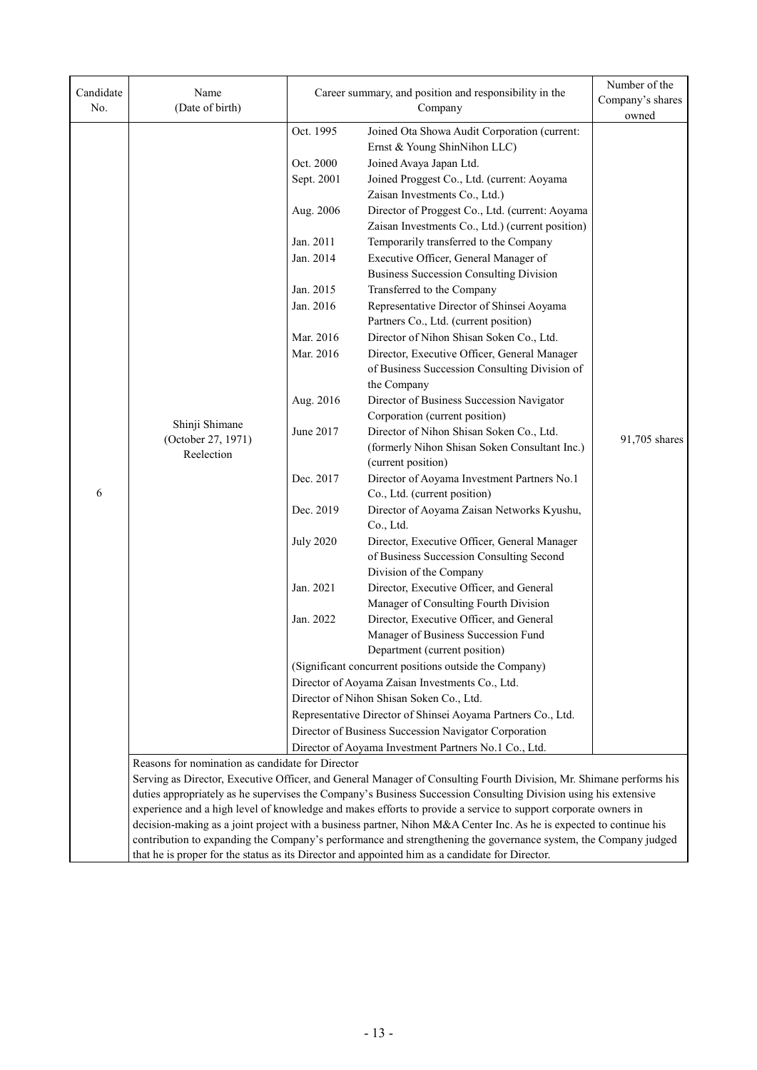| Candidate<br>No. | Name<br>(Date of birth)                                                                                             |                                                              | Career summary, and position and responsibility in the<br>Company                                                                                                                                                  | Number of the<br>Company's shares<br>owned |  |
|------------------|---------------------------------------------------------------------------------------------------------------------|--------------------------------------------------------------|--------------------------------------------------------------------------------------------------------------------------------------------------------------------------------------------------------------------|--------------------------------------------|--|
|                  |                                                                                                                     | Oct. 1995                                                    |                                                                                                                                                                                                                    |                                            |  |
|                  |                                                                                                                     |                                                              | Joined Ota Showa Audit Corporation (current:<br>Ernst & Young ShinNihon LLC)                                                                                                                                       |                                            |  |
|                  |                                                                                                                     | Oct. 2000                                                    | Joined Avaya Japan Ltd.                                                                                                                                                                                            |                                            |  |
|                  |                                                                                                                     | Sept. 2001                                                   | Joined Proggest Co., Ltd. (current: Aoyama                                                                                                                                                                         |                                            |  |
|                  |                                                                                                                     |                                                              | Zaisan Investments Co., Ltd.)                                                                                                                                                                                      |                                            |  |
|                  |                                                                                                                     | Aug. 2006                                                    | Director of Proggest Co., Ltd. (current: Aoyama                                                                                                                                                                    |                                            |  |
|                  |                                                                                                                     |                                                              | Zaisan Investments Co., Ltd.) (current position)                                                                                                                                                                   |                                            |  |
|                  |                                                                                                                     | Jan. 2011                                                    | Temporarily transferred to the Company                                                                                                                                                                             |                                            |  |
|                  |                                                                                                                     | Jan. 2014                                                    | Executive Officer, General Manager of                                                                                                                                                                              |                                            |  |
|                  |                                                                                                                     |                                                              | <b>Business Succession Consulting Division</b>                                                                                                                                                                     |                                            |  |
|                  |                                                                                                                     | Jan. 2015                                                    | Transferred to the Company                                                                                                                                                                                         |                                            |  |
|                  |                                                                                                                     | Jan. 2016                                                    | Representative Director of Shinsei Aoyama                                                                                                                                                                          |                                            |  |
|                  |                                                                                                                     |                                                              | Partners Co., Ltd. (current position)                                                                                                                                                                              |                                            |  |
|                  |                                                                                                                     | Mar. 2016                                                    | Director of Nihon Shisan Soken Co., Ltd.                                                                                                                                                                           |                                            |  |
|                  |                                                                                                                     | Mar. 2016                                                    | Director, Executive Officer, General Manager                                                                                                                                                                       |                                            |  |
|                  |                                                                                                                     |                                                              | of Business Succession Consulting Division of                                                                                                                                                                      |                                            |  |
|                  |                                                                                                                     |                                                              | the Company                                                                                                                                                                                                        |                                            |  |
|                  |                                                                                                                     | Aug. 2016                                                    | Director of Business Succession Navigator                                                                                                                                                                          |                                            |  |
|                  | Shinji Shimane                                                                                                      |                                                              | Corporation (current position)                                                                                                                                                                                     |                                            |  |
|                  | (October 27, 1971)                                                                                                  | June 2017                                                    | Director of Nihon Shisan Soken Co., Ltd.<br>(formerly Nihon Shisan Soken Consultant Inc.)                                                                                                                          | 91,705 shares                              |  |
|                  | Reelection                                                                                                          |                                                              | (current position)                                                                                                                                                                                                 |                                            |  |
|                  |                                                                                                                     | Dec. 2017                                                    | Director of Aoyama Investment Partners No.1                                                                                                                                                                        |                                            |  |
| 6                |                                                                                                                     |                                                              | Co., Ltd. (current position)                                                                                                                                                                                       |                                            |  |
|                  |                                                                                                                     | Dec. 2019                                                    | Director of Aoyama Zaisan Networks Kyushu,                                                                                                                                                                         |                                            |  |
|                  |                                                                                                                     |                                                              | Co., Ltd.                                                                                                                                                                                                          |                                            |  |
|                  |                                                                                                                     | <b>July 2020</b>                                             | Director, Executive Officer, General Manager                                                                                                                                                                       |                                            |  |
|                  |                                                                                                                     |                                                              | of Business Succession Consulting Second                                                                                                                                                                           |                                            |  |
|                  |                                                                                                                     |                                                              | Division of the Company                                                                                                                                                                                            |                                            |  |
|                  |                                                                                                                     | Jan. 2021                                                    | Director, Executive Officer, and General                                                                                                                                                                           |                                            |  |
|                  |                                                                                                                     |                                                              | Manager of Consulting Fourth Division                                                                                                                                                                              |                                            |  |
|                  |                                                                                                                     | Jan. 2022                                                    | Director, Executive Officer, and General                                                                                                                                                                           |                                            |  |
|                  |                                                                                                                     |                                                              | Manager of Business Succession Fund<br>Department (current position)                                                                                                                                               |                                            |  |
|                  |                                                                                                                     |                                                              | (Significant concurrent positions outside the Company)                                                                                                                                                             |                                            |  |
|                  |                                                                                                                     |                                                              | Director of Aoyama Zaisan Investments Co., Ltd.                                                                                                                                                                    |                                            |  |
|                  |                                                                                                                     |                                                              | Director of Nihon Shisan Soken Co., Ltd.                                                                                                                                                                           |                                            |  |
|                  |                                                                                                                     | Representative Director of Shinsei Aoyama Partners Co., Ltd. |                                                                                                                                                                                                                    |                                            |  |
|                  |                                                                                                                     |                                                              | Director of Business Succession Navigator Corporation                                                                                                                                                              |                                            |  |
|                  |                                                                                                                     | Director of Aoyama Investment Partners No.1 Co., Ltd.        |                                                                                                                                                                                                                    |                                            |  |
|                  | Reasons for nomination as candidate for Director                                                                    |                                                              |                                                                                                                                                                                                                    |                                            |  |
|                  | Serving as Director, Executive Officer, and General Manager of Consulting Fourth Division, Mr. Shimane performs his |                                                              |                                                                                                                                                                                                                    |                                            |  |
|                  | duties appropriately as he supervises the Company's Business Succession Consulting Division using his extensive     |                                                              |                                                                                                                                                                                                                    |                                            |  |
|                  |                                                                                                                     |                                                              | experience and a high level of knowledge and makes efforts to provide a service to support corporate owners in                                                                                                     |                                            |  |
|                  |                                                                                                                     |                                                              | decision-making as a joint project with a business partner, Nihon M&A Center Inc. As he is expected to continue his                                                                                                |                                            |  |
|                  |                                                                                                                     |                                                              | contribution to expanding the Company's performance and strengthening the governance system, the Company judged<br>that he is proper for the status as its Director and appointed him as a candidate for Director. |                                            |  |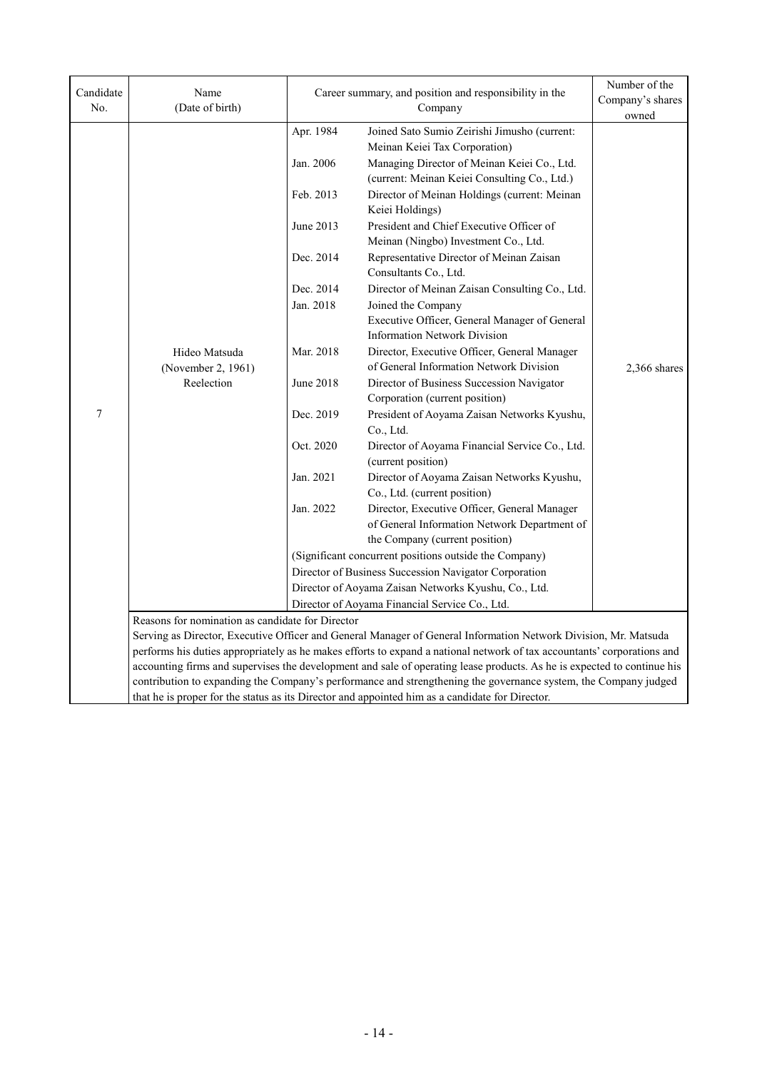| No.                 | Name<br>(Date of birth)                                                                                                                                                                                                                    | Career summary, and position and responsibility in the<br>Company                                                                                        |                                                                                                                                                                                                                                                                                                                                                                                                                                                                                                                                                                                                                                                                                                                                                                                                                                                                                                                                      | Number of the<br>Company's shares<br>owned |  |
|---------------------|--------------------------------------------------------------------------------------------------------------------------------------------------------------------------------------------------------------------------------------------|----------------------------------------------------------------------------------------------------------------------------------------------------------|--------------------------------------------------------------------------------------------------------------------------------------------------------------------------------------------------------------------------------------------------------------------------------------------------------------------------------------------------------------------------------------------------------------------------------------------------------------------------------------------------------------------------------------------------------------------------------------------------------------------------------------------------------------------------------------------------------------------------------------------------------------------------------------------------------------------------------------------------------------------------------------------------------------------------------------|--------------------------------------------|--|
| Candidate<br>$\tau$ | Hideo Matsuda<br>(November 2, 1961)<br>Reelection                                                                                                                                                                                          | Apr. 1984<br>Jan. 2006<br>Feb. 2013<br>June 2013<br>Dec. 2014<br>Dec. 2014<br>Jan. 2018<br>Mar. 2018<br>June 2018<br>Dec. 2019<br>Oct. 2020<br>Jan. 2021 | Joined Sato Sumio Zeirishi Jimusho (current:<br>Meinan Keiei Tax Corporation)<br>Managing Director of Meinan Keiei Co., Ltd.<br>(current: Meinan Keiei Consulting Co., Ltd.)<br>Director of Meinan Holdings (current: Meinan<br>Keiei Holdings)<br>President and Chief Executive Officer of<br>Meinan (Ningbo) Investment Co., Ltd.<br>Representative Director of Meinan Zaisan<br>Consultants Co., Ltd.<br>Director of Meinan Zaisan Consulting Co., Ltd.<br>Joined the Company<br>Executive Officer, General Manager of General<br><b>Information Network Division</b><br>Director, Executive Officer, General Manager<br>of General Information Network Division<br>Director of Business Succession Navigator<br>Corporation (current position)<br>President of Aoyama Zaisan Networks Kyushu,<br>Co., Ltd.<br>Director of Aoyama Financial Service Co., Ltd.<br>(current position)<br>Director of Aoyama Zaisan Networks Kyushu, | 2,366 shares                               |  |
|                     |                                                                                                                                                                                                                                            | Jan. 2022                                                                                                                                                | Co., Ltd. (current position)<br>Director, Executive Officer, General Manager<br>of General Information Network Department of<br>the Company (current position)                                                                                                                                                                                                                                                                                                                                                                                                                                                                                                                                                                                                                                                                                                                                                                       |                                            |  |
|                     |                                                                                                                                                                                                                                            | (Significant concurrent positions outside the Company)                                                                                                   |                                                                                                                                                                                                                                                                                                                                                                                                                                                                                                                                                                                                                                                                                                                                                                                                                                                                                                                                      |                                            |  |
|                     |                                                                                                                                                                                                                                            |                                                                                                                                                          | Director of Business Succession Navigator Corporation                                                                                                                                                                                                                                                                                                                                                                                                                                                                                                                                                                                                                                                                                                                                                                                                                                                                                |                                            |  |
|                     |                                                                                                                                                                                                                                            | Director of Aoyama Zaisan Networks Kyushu, Co., Ltd.                                                                                                     |                                                                                                                                                                                                                                                                                                                                                                                                                                                                                                                                                                                                                                                                                                                                                                                                                                                                                                                                      |                                            |  |
|                     | Director of Aoyama Financial Service Co., Ltd.                                                                                                                                                                                             |                                                                                                                                                          |                                                                                                                                                                                                                                                                                                                                                                                                                                                                                                                                                                                                                                                                                                                                                                                                                                                                                                                                      |                                            |  |
|                     | Reasons for nomination as candidate for Director                                                                                                                                                                                           |                                                                                                                                                          |                                                                                                                                                                                                                                                                                                                                                                                                                                                                                                                                                                                                                                                                                                                                                                                                                                                                                                                                      |                                            |  |
|                     | Serving as Director, Executive Officer and General Manager of General Information Network Division, Mr. Matsuda<br>performs his duties appropriately as he makes efforts to expand a national network of tax accountants' corporations and |                                                                                                                                                          |                                                                                                                                                                                                                                                                                                                                                                                                                                                                                                                                                                                                                                                                                                                                                                                                                                                                                                                                      |                                            |  |
|                     | accounting firms and supervises the development and sale of operating lease products. As he is expected to continue his                                                                                                                    |                                                                                                                                                          |                                                                                                                                                                                                                                                                                                                                                                                                                                                                                                                                                                                                                                                                                                                                                                                                                                                                                                                                      |                                            |  |
|                     | contribution to expanding the Company's performance and strengthening the governance system, the Company judged                                                                                                                            |                                                                                                                                                          |                                                                                                                                                                                                                                                                                                                                                                                                                                                                                                                                                                                                                                                                                                                                                                                                                                                                                                                                      |                                            |  |
|                     | that he is proper for the status as its Director and appointed him as a candidate for Director.                                                                                                                                            |                                                                                                                                                          |                                                                                                                                                                                                                                                                                                                                                                                                                                                                                                                                                                                                                                                                                                                                                                                                                                                                                                                                      |                                            |  |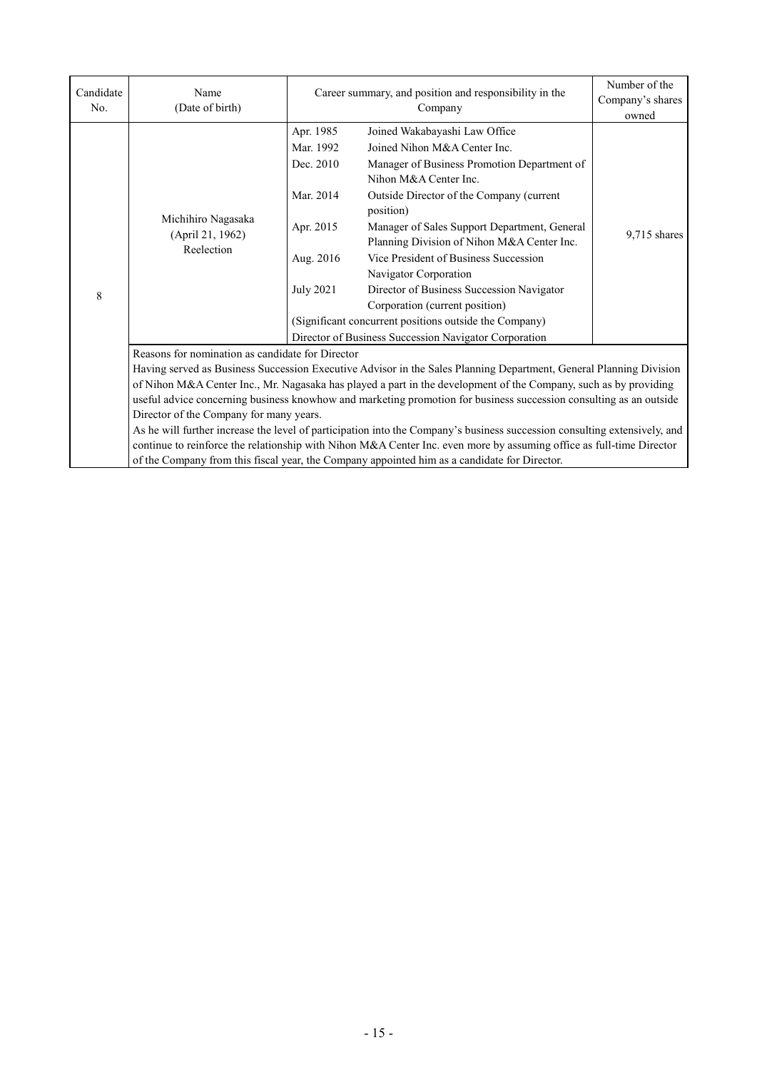| Candidate<br>No. | Name<br>(Date of birth)                                                                                                                                                                                                                                                                                                                                                                                                                                                                                                                                                                                                                                                                                                                                                                                                                                                   | Career summary, and position and responsibility in the<br>Company                                                                                                                                                                                                                                                                                                                                                                                                                                                                                                                                  | Number of the<br>Company's shares<br>owned |  |  |
|------------------|---------------------------------------------------------------------------------------------------------------------------------------------------------------------------------------------------------------------------------------------------------------------------------------------------------------------------------------------------------------------------------------------------------------------------------------------------------------------------------------------------------------------------------------------------------------------------------------------------------------------------------------------------------------------------------------------------------------------------------------------------------------------------------------------------------------------------------------------------------------------------|----------------------------------------------------------------------------------------------------------------------------------------------------------------------------------------------------------------------------------------------------------------------------------------------------------------------------------------------------------------------------------------------------------------------------------------------------------------------------------------------------------------------------------------------------------------------------------------------------|--------------------------------------------|--|--|
| 8                | Michihiro Nagasaka<br>(April 21, 1962)<br>Reelection                                                                                                                                                                                                                                                                                                                                                                                                                                                                                                                                                                                                                                                                                                                                                                                                                      | Apr. 1985<br>Joined Wakabayashi Law Office<br>Mar. 1992<br>Joined Nihon M&A Center Inc.<br>Dec. 2010<br>Manager of Business Promotion Department of<br>Nihon M&A Center Inc.<br>Mar. 2014<br>Outside Director of the Company (current<br>position)<br>Manager of Sales Support Department, General<br>Apr. 2015<br>Planning Division of Nihon M&A Center Inc.<br>Vice President of Business Succession<br>Aug. 2016<br>Navigator Corporation<br>July 2021<br>Director of Business Succession Navigator<br>Corporation (current position)<br>(Significant concurrent positions outside the Company) | 9,715 shares                               |  |  |
|                  | Director of Business Succession Navigator Corporation<br>Reasons for nomination as candidate for Director<br>Having served as Business Succession Executive Advisor in the Sales Planning Department, General Planning Division<br>of Nihon M&A Center Inc., Mr. Nagasaka has played a part in the development of the Company, such as by providing<br>useful advice concerning business knowhow and marketing promotion for business succession consulting as an outside<br>Director of the Company for many years.<br>As he will further increase the level of participation into the Company's business succession consulting extensively, and<br>continue to reinforce the relationship with Nihon M&A Center Inc. even more by assuming office as full-time Director<br>of the Company from this fiscal year, the Company appointed him as a candidate for Director. |                                                                                                                                                                                                                                                                                                                                                                                                                                                                                                                                                                                                    |                                            |  |  |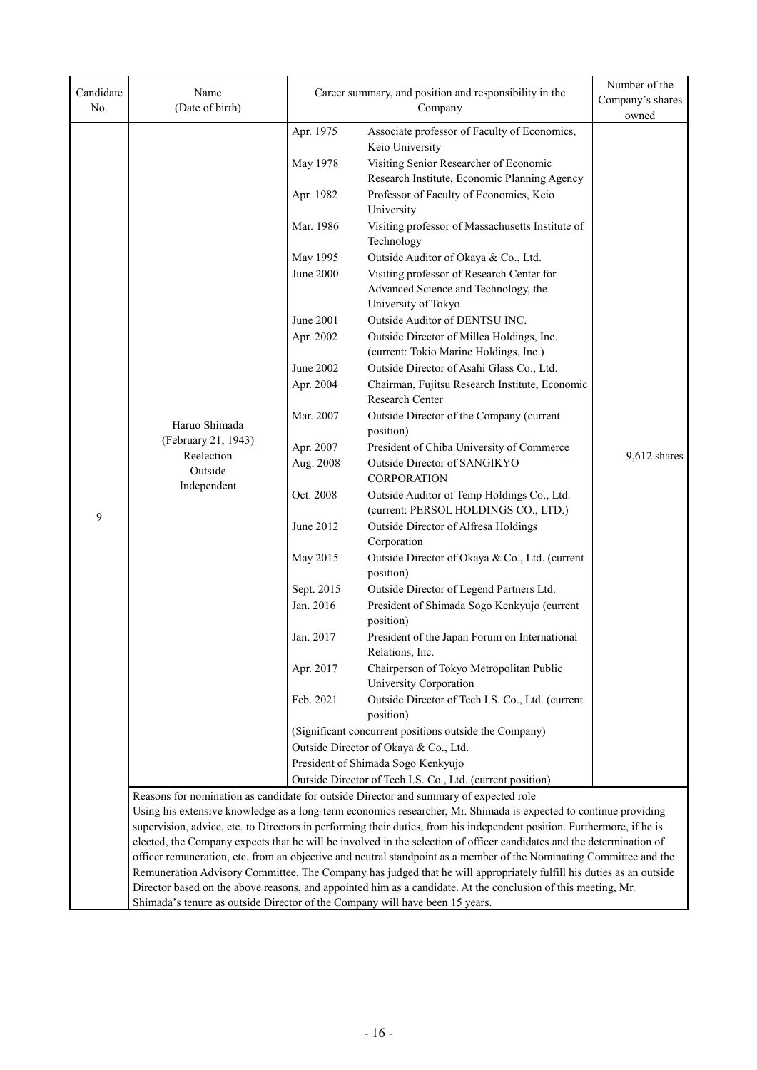| Candidate<br>No. | Name<br>(Date of birth)                                                                                                                                                                                                                                                                                                                                                                                                                                       | Career summary, and position and responsibility in the<br>Company |                                                                                                                     | Number of the<br>Company's shares |  |
|------------------|---------------------------------------------------------------------------------------------------------------------------------------------------------------------------------------------------------------------------------------------------------------------------------------------------------------------------------------------------------------------------------------------------------------------------------------------------------------|-------------------------------------------------------------------|---------------------------------------------------------------------------------------------------------------------|-----------------------------------|--|
|                  |                                                                                                                                                                                                                                                                                                                                                                                                                                                               | Apr. 1975                                                         | Associate professor of Faculty of Economics,                                                                        | owned                             |  |
|                  |                                                                                                                                                                                                                                                                                                                                                                                                                                                               |                                                                   | Keio University                                                                                                     |                                   |  |
|                  |                                                                                                                                                                                                                                                                                                                                                                                                                                                               | May 1978                                                          | Visiting Senior Researcher of Economic                                                                              |                                   |  |
|                  |                                                                                                                                                                                                                                                                                                                                                                                                                                                               |                                                                   | Research Institute, Economic Planning Agency                                                                        |                                   |  |
|                  |                                                                                                                                                                                                                                                                                                                                                                                                                                                               | Apr. 1982                                                         | Professor of Faculty of Economics, Keio                                                                             |                                   |  |
|                  |                                                                                                                                                                                                                                                                                                                                                                                                                                                               |                                                                   | University                                                                                                          |                                   |  |
|                  |                                                                                                                                                                                                                                                                                                                                                                                                                                                               | Mar. 1986                                                         | Visiting professor of Massachusetts Institute of<br>Technology                                                      |                                   |  |
|                  |                                                                                                                                                                                                                                                                                                                                                                                                                                                               | May 1995                                                          | Outside Auditor of Okaya & Co., Ltd.                                                                                |                                   |  |
|                  |                                                                                                                                                                                                                                                                                                                                                                                                                                                               | <b>June 2000</b>                                                  | Visiting professor of Research Center for                                                                           |                                   |  |
|                  |                                                                                                                                                                                                                                                                                                                                                                                                                                                               |                                                                   | Advanced Science and Technology, the                                                                                |                                   |  |
|                  |                                                                                                                                                                                                                                                                                                                                                                                                                                                               |                                                                   | University of Tokyo                                                                                                 |                                   |  |
|                  |                                                                                                                                                                                                                                                                                                                                                                                                                                                               | June 2001                                                         | Outside Auditor of DENTSU INC.                                                                                      |                                   |  |
|                  |                                                                                                                                                                                                                                                                                                                                                                                                                                                               | Apr. 2002                                                         | Outside Director of Millea Holdings, Inc.<br>(current: Tokio Marine Holdings, Inc.)                                 |                                   |  |
|                  |                                                                                                                                                                                                                                                                                                                                                                                                                                                               | <b>June 2002</b>                                                  | Outside Director of Asahi Glass Co., Ltd.                                                                           |                                   |  |
|                  |                                                                                                                                                                                                                                                                                                                                                                                                                                                               | Apr. 2004                                                         | Chairman, Fujitsu Research Institute, Economic                                                                      |                                   |  |
|                  |                                                                                                                                                                                                                                                                                                                                                                                                                                                               |                                                                   | Research Center                                                                                                     |                                   |  |
|                  |                                                                                                                                                                                                                                                                                                                                                                                                                                                               | Mar. 2007                                                         | Outside Director of the Company (current                                                                            |                                   |  |
|                  | Haruo Shimada                                                                                                                                                                                                                                                                                                                                                                                                                                                 |                                                                   | position)                                                                                                           |                                   |  |
|                  | (February 21, 1943)<br>Reelection                                                                                                                                                                                                                                                                                                                                                                                                                             | Apr. 2007                                                         | President of Chiba University of Commerce                                                                           | 9,612 shares                      |  |
|                  | Outside                                                                                                                                                                                                                                                                                                                                                                                                                                                       | Aug. 2008                                                         | Outside Director of SANGIKYO<br><b>CORPORATION</b>                                                                  |                                   |  |
|                  | Independent                                                                                                                                                                                                                                                                                                                                                                                                                                                   | Oct. 2008                                                         | Outside Auditor of Temp Holdings Co., Ltd.<br>(current: PERSOL HOLDINGS CO., LTD.)                                  |                                   |  |
| 9                |                                                                                                                                                                                                                                                                                                                                                                                                                                                               | June 2012                                                         | Outside Director of Alfresa Holdings                                                                                |                                   |  |
|                  |                                                                                                                                                                                                                                                                                                                                                                                                                                                               |                                                                   | Corporation                                                                                                         |                                   |  |
|                  |                                                                                                                                                                                                                                                                                                                                                                                                                                                               | May 2015                                                          | Outside Director of Okaya & Co., Ltd. (current<br>position)                                                         |                                   |  |
|                  |                                                                                                                                                                                                                                                                                                                                                                                                                                                               | Sept. 2015                                                        | Outside Director of Legend Partners Ltd.                                                                            |                                   |  |
|                  |                                                                                                                                                                                                                                                                                                                                                                                                                                                               | Jan. 2016                                                         | President of Shimada Sogo Kenkyujo (current<br>position)                                                            |                                   |  |
|                  |                                                                                                                                                                                                                                                                                                                                                                                                                                                               | Jan. 2017                                                         | President of the Japan Forum on International<br>Relations, Inc.                                                    |                                   |  |
|                  |                                                                                                                                                                                                                                                                                                                                                                                                                                                               | Apr. 2017                                                         | Chairperson of Tokyo Metropolitan Public<br>University Corporation                                                  |                                   |  |
|                  |                                                                                                                                                                                                                                                                                                                                                                                                                                                               | Feb. 2021                                                         | Outside Director of Tech I.S. Co., Ltd. (current                                                                    |                                   |  |
|                  |                                                                                                                                                                                                                                                                                                                                                                                                                                                               |                                                                   | position)                                                                                                           |                                   |  |
|                  |                                                                                                                                                                                                                                                                                                                                                                                                                                                               | (Significant concurrent positions outside the Company)            |                                                                                                                     |                                   |  |
|                  |                                                                                                                                                                                                                                                                                                                                                                                                                                                               | Outside Director of Okaya & Co., Ltd.                             |                                                                                                                     |                                   |  |
|                  |                                                                                                                                                                                                                                                                                                                                                                                                                                                               |                                                                   | President of Shimada Sogo Kenkyujo                                                                                  |                                   |  |
|                  |                                                                                                                                                                                                                                                                                                                                                                                                                                                               | Outside Director of Tech I.S. Co., Ltd. (current position)        |                                                                                                                     |                                   |  |
|                  | Reasons for nomination as candidate for outside Director and summary of expected role<br>Using his extensive knowledge as a long-term economics researcher, Mr. Shimada is expected to continue providing<br>supervision, advice, etc. to Directors in performing their duties, from his independent position. Furthermore, if he is<br>elected, the Company expects that he will be involved in the selection of officer candidates and the determination of |                                                                   |                                                                                                                     |                                   |  |
|                  |                                                                                                                                                                                                                                                                                                                                                                                                                                                               |                                                                   |                                                                                                                     |                                   |  |
|                  |                                                                                                                                                                                                                                                                                                                                                                                                                                                               |                                                                   |                                                                                                                     |                                   |  |
|                  |                                                                                                                                                                                                                                                                                                                                                                                                                                                               |                                                                   | officer remuneration, etc. from an objective and neutral standpoint as a member of the Nominating Committee and the |                                   |  |
|                  | Remuneration Advisory Committee. The Company has judged that he will appropriately fulfill his duties as an outside                                                                                                                                                                                                                                                                                                                                           |                                                                   |                                                                                                                     |                                   |  |
|                  |                                                                                                                                                                                                                                                                                                                                                                                                                                                               |                                                                   | Director based on the above reasons, and appointed him as a candidate. At the conclusion of this meeting, Mr.       |                                   |  |
|                  | Shimada's tenure as outside Director of the Company will have been 15 years.                                                                                                                                                                                                                                                                                                                                                                                  |                                                                   |                                                                                                                     |                                   |  |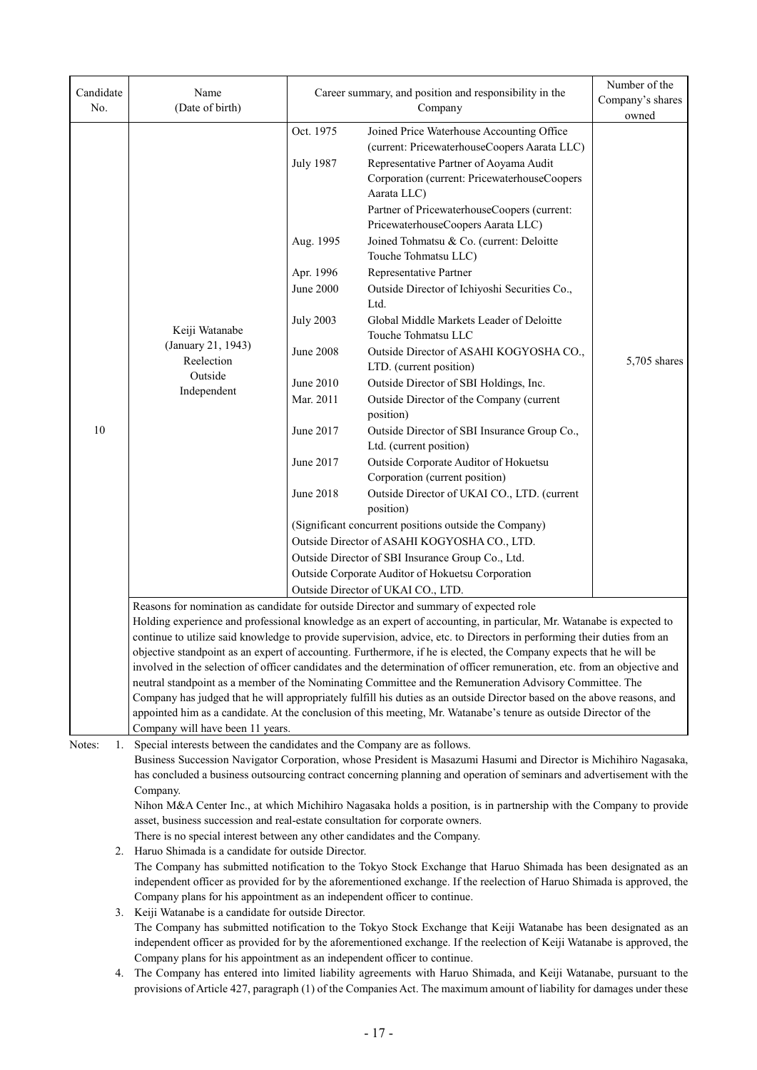| Candidate                                                                                                        | Name                                                                                                                                                                                                                                                     | Career summary, and position and responsibility in the |                                                                                                                                                      | Number of the<br>Company's shares |  |
|------------------------------------------------------------------------------------------------------------------|----------------------------------------------------------------------------------------------------------------------------------------------------------------------------------------------------------------------------------------------------------|--------------------------------------------------------|------------------------------------------------------------------------------------------------------------------------------------------------------|-----------------------------------|--|
| No.                                                                                                              | (Date of birth)                                                                                                                                                                                                                                          |                                                        | Company                                                                                                                                              | owned                             |  |
|                                                                                                                  |                                                                                                                                                                                                                                                          | Oct. 1975                                              | Joined Price Waterhouse Accounting Office                                                                                                            |                                   |  |
|                                                                                                                  |                                                                                                                                                                                                                                                          |                                                        | (current: PricewaterhouseCoopers Aarata LLC)                                                                                                         |                                   |  |
|                                                                                                                  |                                                                                                                                                                                                                                                          | <b>July 1987</b>                                       | Representative Partner of Aoyama Audit<br>Corporation (current: PricewaterhouseCoopers<br>Aarata LLC)<br>Partner of PricewaterhouseCoopers (current: |                                   |  |
|                                                                                                                  |                                                                                                                                                                                                                                                          | Aug. 1995                                              | PricewaterhouseCoopers Aarata LLC)<br>Joined Tohmatsu & Co. (current: Deloitte                                                                       |                                   |  |
|                                                                                                                  |                                                                                                                                                                                                                                                          | Apr. 1996                                              | Touche Tohmatsu LLC)<br>Representative Partner                                                                                                       |                                   |  |
|                                                                                                                  |                                                                                                                                                                                                                                                          | <b>June 2000</b>                                       | Outside Director of Ichiyoshi Securities Co.,                                                                                                        |                                   |  |
|                                                                                                                  |                                                                                                                                                                                                                                                          |                                                        | Ltd.                                                                                                                                                 |                                   |  |
|                                                                                                                  |                                                                                                                                                                                                                                                          | <b>July 2003</b>                                       | Global Middle Markets Leader of Deloitte                                                                                                             |                                   |  |
|                                                                                                                  | Keiji Watanabe                                                                                                                                                                                                                                           |                                                        | Touche Tohmatsu LLC                                                                                                                                  |                                   |  |
|                                                                                                                  | (January 21, 1943)                                                                                                                                                                                                                                       | <b>June 2008</b>                                       | Outside Director of ASAHI KOGYOSHA CO.,                                                                                                              |                                   |  |
|                                                                                                                  | Reelection                                                                                                                                                                                                                                               |                                                        | LTD. (current position)                                                                                                                              | 5,705 shares                      |  |
|                                                                                                                  | Outside                                                                                                                                                                                                                                                  | June 2010                                              | Outside Director of SBI Holdings, Inc.                                                                                                               |                                   |  |
| 10                                                                                                               | Independent                                                                                                                                                                                                                                              | Mar. 2011                                              | Outside Director of the Company (current                                                                                                             |                                   |  |
|                                                                                                                  |                                                                                                                                                                                                                                                          |                                                        | position)                                                                                                                                            |                                   |  |
|                                                                                                                  |                                                                                                                                                                                                                                                          | June 2017                                              | Outside Director of SBI Insurance Group Co.,                                                                                                         |                                   |  |
|                                                                                                                  |                                                                                                                                                                                                                                                          |                                                        | Ltd. (current position)                                                                                                                              |                                   |  |
|                                                                                                                  |                                                                                                                                                                                                                                                          | June 2017                                              | Outside Corporate Auditor of Hokuetsu                                                                                                                |                                   |  |
|                                                                                                                  |                                                                                                                                                                                                                                                          | <b>June 2018</b>                                       | Corporation (current position)                                                                                                                       |                                   |  |
|                                                                                                                  |                                                                                                                                                                                                                                                          |                                                        | Outside Director of UKAI CO., LTD. (current<br>position)                                                                                             |                                   |  |
|                                                                                                                  |                                                                                                                                                                                                                                                          |                                                        | (Significant concurrent positions outside the Company)                                                                                               |                                   |  |
|                                                                                                                  |                                                                                                                                                                                                                                                          | Outside Director of ASAHI KOGYOSHA CO., LTD.           |                                                                                                                                                      |                                   |  |
|                                                                                                                  |                                                                                                                                                                                                                                                          |                                                        | Outside Director of SBI Insurance Group Co., Ltd.                                                                                                    |                                   |  |
|                                                                                                                  |                                                                                                                                                                                                                                                          |                                                        | Outside Corporate Auditor of Hokuetsu Corporation                                                                                                    |                                   |  |
|                                                                                                                  |                                                                                                                                                                                                                                                          | Outside Director of UKAI CO., LTD.                     |                                                                                                                                                      |                                   |  |
|                                                                                                                  | Reasons for nomination as candidate for outside Director and summary of expected role                                                                                                                                                                    |                                                        |                                                                                                                                                      |                                   |  |
|                                                                                                                  | Holding experience and professional knowledge as an expert of accounting, in particular, Mr. Watanabe is expected to<br>continue to utilize said knowledge to provide supervision, advice, etc. to Directors in performing their duties from an          |                                                        |                                                                                                                                                      |                                   |  |
|                                                                                                                  | objective standpoint as an expert of accounting. Furthermore, if he is elected, the Company expects that he will be                                                                                                                                      |                                                        |                                                                                                                                                      |                                   |  |
|                                                                                                                  |                                                                                                                                                                                                                                                          |                                                        | involved in the selection of officer candidates and the determination of officer remuneration, etc. from an objective and                            |                                   |  |
|                                                                                                                  |                                                                                                                                                                                                                                                          |                                                        | neutral standpoint as a member of the Nominating Committee and the Remuneration Advisory Committee. The                                              |                                   |  |
|                                                                                                                  |                                                                                                                                                                                                                                                          |                                                        | Company has judged that he will appropriately fulfill his duties as an outside Director based on the above reasons, and                              |                                   |  |
|                                                                                                                  |                                                                                                                                                                                                                                                          |                                                        | appointed him as a candidate. At the conclusion of this meeting, Mr. Watanabe's tenure as outside Director of the                                    |                                   |  |
|                                                                                                                  | Company will have been 11 years.                                                                                                                                                                                                                         |                                                        |                                                                                                                                                      |                                   |  |
| Notes:<br>1.                                                                                                     | Special interests between the candidates and the Company are as follows.                                                                                                                                                                                 |                                                        | Business Succession Navigator Corporation, whose President is Masazumi Hasumi and Director is Michihiro Nagasaka,                                    |                                   |  |
|                                                                                                                  |                                                                                                                                                                                                                                                          |                                                        |                                                                                                                                                      |                                   |  |
|                                                                                                                  | has concluded a business outsourcing contract concerning planning and operation of seminars and advertisement with the<br>Company.<br>Nihon M&A Center Inc., at which Michihiro Nagasaka holds a position, is in partnership with the Company to provide |                                                        |                                                                                                                                                      |                                   |  |
|                                                                                                                  |                                                                                                                                                                                                                                                          |                                                        |                                                                                                                                                      |                                   |  |
|                                                                                                                  | asset, business succession and real-estate consultation for corporate owners.                                                                                                                                                                            |                                                        |                                                                                                                                                      |                                   |  |
|                                                                                                                  | There is no special interest between any other candidates and the Company.                                                                                                                                                                               |                                                        |                                                                                                                                                      |                                   |  |
| 2.                                                                                                               | Haruo Shimada is a candidate for outside Director.                                                                                                                                                                                                       |                                                        |                                                                                                                                                      |                                   |  |
|                                                                                                                  | The Company has submitted notification to the Tokyo Stock Exchange that Haruo Shimada has been designated as an                                                                                                                                          |                                                        |                                                                                                                                                      |                                   |  |
|                                                                                                                  | independent officer as provided for by the aforementioned exchange. If the reelection of Haruo Shimada is approved, the<br>Company plans for his appointment as an independent officer to continue.                                                      |                                                        |                                                                                                                                                      |                                   |  |
| 3.                                                                                                               | Keiji Watanabe is a candidate for outside Director.                                                                                                                                                                                                      |                                                        |                                                                                                                                                      |                                   |  |
| The Company has submitted notification to the Tokyo Stock Exchange that Keiji Watanabe has been designated as an |                                                                                                                                                                                                                                                          |                                                        |                                                                                                                                                      |                                   |  |
|                                                                                                                  |                                                                                                                                                                                                                                                          |                                                        | independent officer as provided for by the aforementioned exchange. If the reelection of Keiji Watanabe is approved, the                             |                                   |  |
|                                                                                                                  | Company plans for his appointment as an independent officer to continue.                                                                                                                                                                                 |                                                        |                                                                                                                                                      |                                   |  |

4. The Company has entered into limited liability agreements with Haruo Shimada, and Keiji Watanabe, pursuant to the provisions of Article 427, paragraph (1) of the Companies Act. The maximum amount of liability for damages under these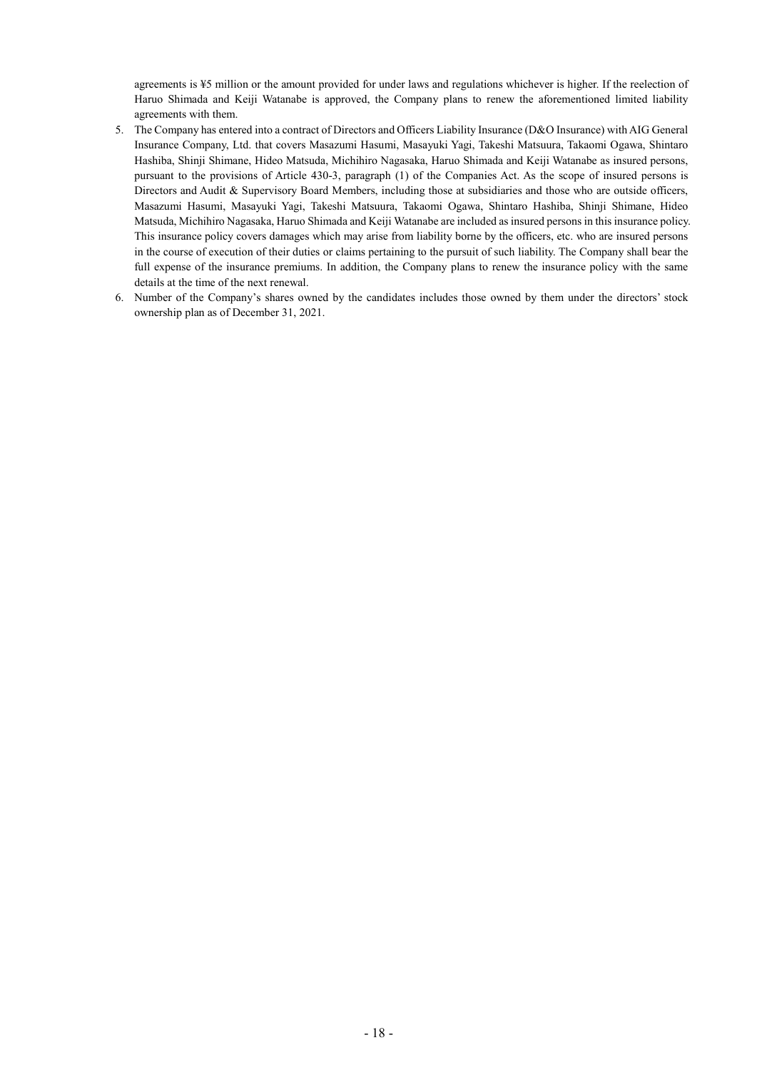agreements is ¥5 million or the amount provided for under laws and regulations whichever is higher. If the reelection of Haruo Shimada and Keiji Watanabe is approved, the Company plans to renew the aforementioned limited liability agreements with them.

- 5. The Company has entered into a contract of Directors and Officers Liability Insurance (D&O Insurance) with AIG General Insurance Company, Ltd. that covers Masazumi Hasumi, Masayuki Yagi, Takeshi Matsuura, Takaomi Ogawa, Shintaro Hashiba, Shinji Shimane, Hideo Matsuda, Michihiro Nagasaka, Haruo Shimada and Keiji Watanabe as insured persons, pursuant to the provisions of Article 430-3, paragraph (1) of the Companies Act. As the scope of insured persons is Directors and Audit & Supervisory Board Members, including those at subsidiaries and those who are outside officers, Masazumi Hasumi, Masayuki Yagi, Takeshi Matsuura, Takaomi Ogawa, Shintaro Hashiba, Shinji Shimane, Hideo Matsuda, Michihiro Nagasaka, Haruo Shimada and Keiji Watanabe are included as insured persons in this insurance policy. This insurance policy covers damages which may arise from liability borne by the officers, etc. who are insured persons in the course of execution of their duties or claims pertaining to the pursuit of such liability. The Company shall bear the full expense of the insurance premiums. In addition, the Company plans to renew the insurance policy with the same details at the time of the next renewal.
- 6. Number of the Company's shares owned by the candidates includes those owned by them under the directors' stock ownership plan as of December 31, 2021.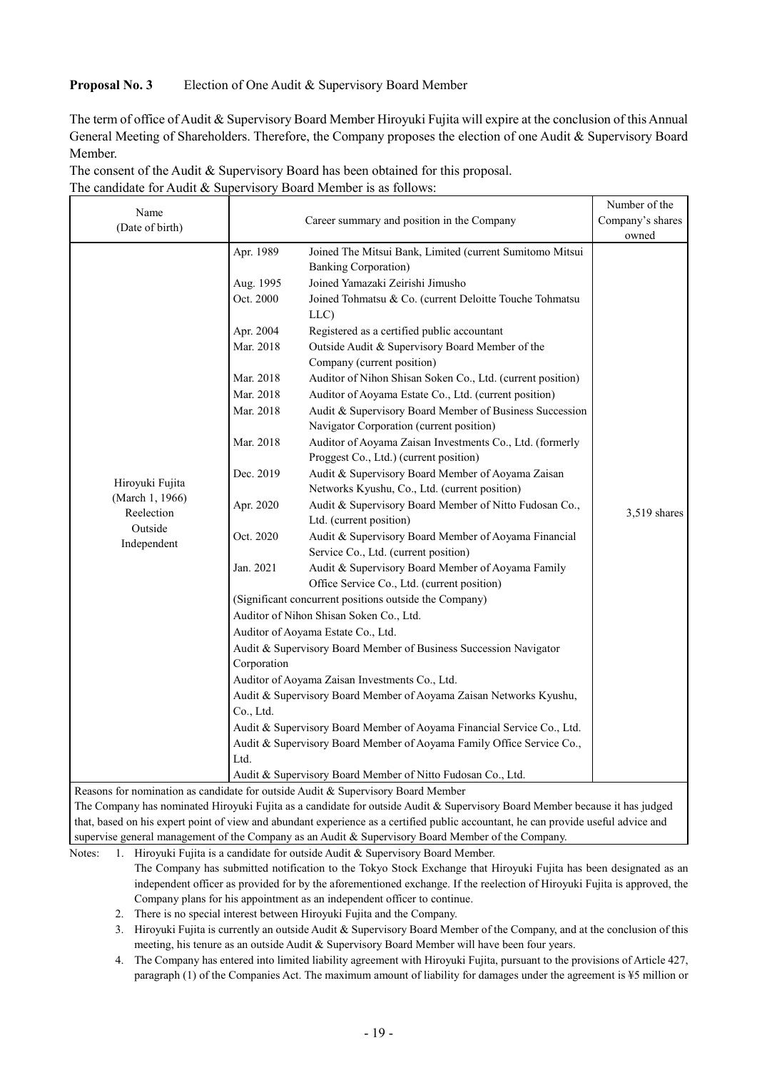## **Proposal No. 3** Election of One Audit & Supervisory Board Member

The term of office of Audit & Supervisory Board Member Hiroyuki Fujita will expire at the conclusion of this Annual General Meeting of Shareholders. Therefore, the Company proposes the election of one Audit & Supervisory Board Member.

| The consent of the Audit & Supervisory Board has been obtained for this proposal. |
|-----------------------------------------------------------------------------------|
| The candidate for Audit & Supervisory Board Member is as follows:                 |

| Name                               |                                                                        |                                                                                                                             | Number of the    |  |  |
|------------------------------------|------------------------------------------------------------------------|-----------------------------------------------------------------------------------------------------------------------------|------------------|--|--|
| (Date of birth)                    | Career summary and position in the Company                             |                                                                                                                             | Company's shares |  |  |
|                                    |                                                                        |                                                                                                                             | owned            |  |  |
|                                    | Apr. 1989                                                              | Joined The Mitsui Bank, Limited (current Sumitomo Mitsui<br><b>Banking Corporation</b> )                                    |                  |  |  |
|                                    | Aug. 1995                                                              | Joined Yamazaki Zeirishi Jimusho                                                                                            |                  |  |  |
|                                    | Oct. 2000                                                              | Joined Tohmatsu & Co. (current Deloitte Touche Tohmatsu<br>LLC)                                                             |                  |  |  |
|                                    | Apr. 2004                                                              | Registered as a certified public accountant                                                                                 |                  |  |  |
|                                    | Mar. 2018                                                              | Outside Audit & Supervisory Board Member of the                                                                             |                  |  |  |
|                                    |                                                                        | Company (current position)                                                                                                  |                  |  |  |
|                                    | Mar. 2018                                                              | Auditor of Nihon Shisan Soken Co., Ltd. (current position)                                                                  |                  |  |  |
|                                    | Mar. 2018                                                              | Auditor of Aoyama Estate Co., Ltd. (current position)                                                                       |                  |  |  |
|                                    | Mar. 2018                                                              | Audit & Supervisory Board Member of Business Succession                                                                     |                  |  |  |
|                                    |                                                                        | Navigator Corporation (current position)                                                                                    |                  |  |  |
|                                    | Mar. 2018                                                              | Auditor of Aoyama Zaisan Investments Co., Ltd. (formerly                                                                    |                  |  |  |
|                                    |                                                                        | Proggest Co., Ltd.) (current position)                                                                                      |                  |  |  |
|                                    | Dec. 2019                                                              | Audit & Supervisory Board Member of Aoyama Zaisan                                                                           |                  |  |  |
| Hiroyuki Fujita<br>(March 1, 1966) |                                                                        | Networks Kyushu, Co., Ltd. (current position)                                                                               |                  |  |  |
| Reelection                         | Apr. 2020                                                              | Audit & Supervisory Board Member of Nitto Fudosan Co.,<br>Ltd. (current position)                                           | $3.519$ shares   |  |  |
| Outside<br>Independent             | Oct. 2020                                                              | Audit & Supervisory Board Member of Aoyama Financial                                                                        |                  |  |  |
|                                    |                                                                        | Service Co., Ltd. (current position)                                                                                        |                  |  |  |
|                                    | Jan. 2021                                                              | Audit & Supervisory Board Member of Aoyama Family<br>Office Service Co., Ltd. (current position)                            |                  |  |  |
|                                    |                                                                        | (Significant concurrent positions outside the Company)                                                                      |                  |  |  |
|                                    |                                                                        | Auditor of Nihon Shisan Soken Co., Ltd.                                                                                     |                  |  |  |
|                                    |                                                                        | Auditor of Aoyama Estate Co., Ltd.                                                                                          |                  |  |  |
|                                    | Audit & Supervisory Board Member of Business Succession Navigator      |                                                                                                                             |                  |  |  |
|                                    | Corporation                                                            |                                                                                                                             |                  |  |  |
|                                    | Auditor of Aoyama Zaisan Investments Co., Ltd.                         |                                                                                                                             |                  |  |  |
|                                    | Audit & Supervisory Board Member of Aoyama Zaisan Networks Kyushu,     |                                                                                                                             |                  |  |  |
|                                    | Co., Ltd.                                                              |                                                                                                                             |                  |  |  |
|                                    | Audit & Supervisory Board Member of Aoyama Financial Service Co., Ltd. |                                                                                                                             |                  |  |  |
|                                    | Audit & Supervisory Board Member of Aoyama Family Office Service Co.,  |                                                                                                                             |                  |  |  |
|                                    | Ltd.                                                                   |                                                                                                                             |                  |  |  |
|                                    |                                                                        | Audit & Supervisory Board Member of Nitto Fudosan Co., Ltd.                                                                 |                  |  |  |
|                                    |                                                                        | Reasons for nomination as candidate for outside Audit & Supervisory Board Member                                            |                  |  |  |
|                                    |                                                                        | The Company has nominated Hiroyuki Fujita as a candidate for outside Audit & Supervisory Board Member because it has judged |                  |  |  |

that, based on his expert point of view and abundant experience as a certified public accountant, he can provide useful advice and supervise general management of the Company as an Audit & Supervisory Board Member of the Company.

Notes: 1. Hiroyuki Fujita is a candidate for outside Audit & Supervisory Board Member.

The Company has submitted notification to the Tokyo Stock Exchange that Hiroyuki Fujita has been designated as an independent officer as provided for by the aforementioned exchange. If the reelection of Hiroyuki Fujita is approved, the Company plans for his appointment as an independent officer to continue.

2. There is no special interest between Hiroyuki Fujita and the Company.

3. Hiroyuki Fujita is currently an outside Audit & Supervisory Board Member of the Company, and at the conclusion of this meeting, his tenure as an outside Audit & Supervisory Board Member will have been four years.

4. The Company has entered into limited liability agreement with Hiroyuki Fujita, pursuant to the provisions of Article 427, paragraph (1) of the Companies Act. The maximum amount of liability for damages under the agreement is ¥5 million or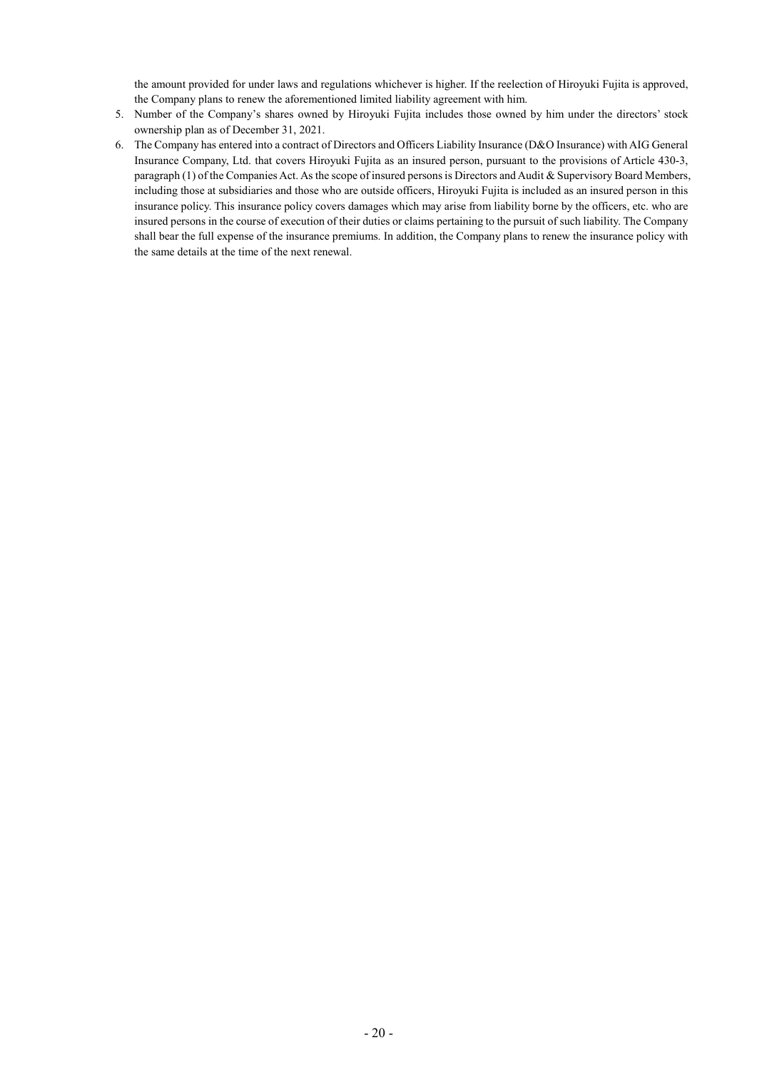the amount provided for under laws and regulations whichever is higher. If the reelection of Hiroyuki Fujita is approved, the Company plans to renew the aforementioned limited liability agreement with him.

- 5. Number of the Company's shares owned by Hiroyuki Fujita includes those owned by him under the directors' stock ownership plan as of December 31, 2021.
- 6. The Company has entered into a contract of Directors and Officers Liability Insurance (D&O Insurance) with AIG General Insurance Company, Ltd. that covers Hiroyuki Fujita as an insured person, pursuant to the provisions of Article 430-3, paragraph (1) of the Companies Act. As the scope of insured persons is Directors and Audit & Supervisory Board Members, including those at subsidiaries and those who are outside officers, Hiroyuki Fujita is included as an insured person in this insurance policy. This insurance policy covers damages which may arise from liability borne by the officers, etc. who are insured persons in the course of execution of their duties or claims pertaining to the pursuit of such liability. The Company shall bear the full expense of the insurance premiums. In addition, the Company plans to renew the insurance policy with the same details at the time of the next renewal.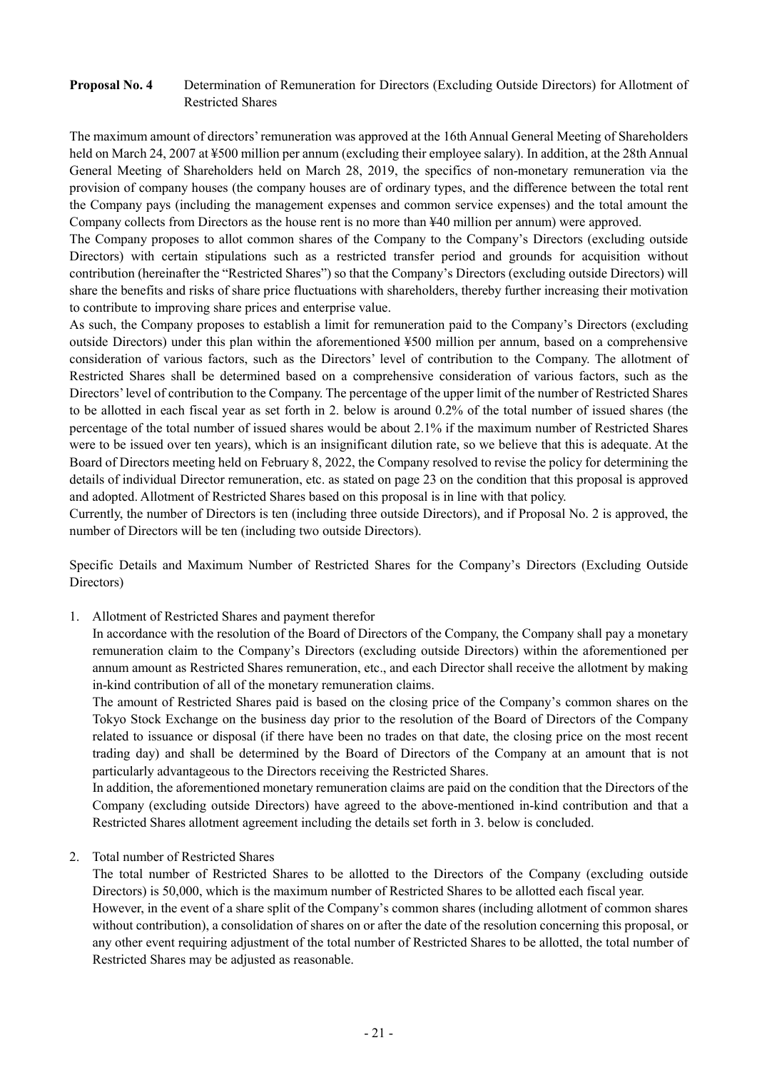## **Proposal No. 4** Determination of Remuneration for Directors (Excluding Outside Directors) for Allotment of Restricted Shares

The maximum amount of directors' remuneration was approved at the 16th Annual General Meeting of Shareholders held on March 24, 2007 at ¥500 million per annum (excluding their employee salary). In addition, at the 28th Annual General Meeting of Shareholders held on March 28, 2019, the specifics of non-monetary remuneration via the provision of company houses (the company houses are of ordinary types, and the difference between the total rent the Company pays (including the management expenses and common service expenses) and the total amount the Company collects from Directors as the house rent is no more than ¥40 million per annum) were approved.

The Company proposes to allot common shares of the Company to the Company's Directors (excluding outside Directors) with certain stipulations such as a restricted transfer period and grounds for acquisition without contribution (hereinafter the "Restricted Shares") so that the Company's Directors (excluding outside Directors) will share the benefits and risks of share price fluctuations with shareholders, thereby further increasing their motivation to contribute to improving share prices and enterprise value.

As such, the Company proposes to establish a limit for remuneration paid to the Company's Directors (excluding outside Directors) under this plan within the aforementioned ¥500 million per annum, based on a comprehensive consideration of various factors, such as the Directors' level of contribution to the Company. The allotment of Restricted Shares shall be determined based on a comprehensive consideration of various factors, such as the Directors' level of contribution to the Company. The percentage of the upper limit of the number of Restricted Shares to be allotted in each fiscal year as set forth in 2. below is around 0.2% of the total number of issued shares (the percentage of the total number of issued shares would be about 2.1% if the maximum number of Restricted Shares were to be issued over ten years), which is an insignificant dilution rate, so we believe that this is adequate. At the Board of Directors meeting held on February 8, 2022, the Company resolved to revise the policy for determining the details of individual Director remuneration, etc. as stated on page 23 on the condition that this proposal is approved and adopted. Allotment of Restricted Shares based on this proposal is in line with that policy.

Currently, the number of Directors is ten (including three outside Directors), and if Proposal No. 2 is approved, the number of Directors will be ten (including two outside Directors).

Specific Details and Maximum Number of Restricted Shares for the Company's Directors (Excluding Outside Directors)

1. Allotment of Restricted Shares and payment therefor

In accordance with the resolution of the Board of Directors of the Company, the Company shall pay a monetary remuneration claim to the Company's Directors (excluding outside Directors) within the aforementioned per annum amount as Restricted Shares remuneration, etc., and each Director shall receive the allotment by making in-kind contribution of all of the monetary remuneration claims.

The amount of Restricted Shares paid is based on the closing price of the Company's common shares on the Tokyo Stock Exchange on the business day prior to the resolution of the Board of Directors of the Company related to issuance or disposal (if there have been no trades on that date, the closing price on the most recent trading day) and shall be determined by the Board of Directors of the Company at an amount that is not particularly advantageous to the Directors receiving the Restricted Shares.

In addition, the aforementioned monetary remuneration claims are paid on the condition that the Directors of the Company (excluding outside Directors) have agreed to the above-mentioned in-kind contribution and that a Restricted Shares allotment agreement including the details set forth in 3. below is concluded.

#### 2. Total number of Restricted Shares

The total number of Restricted Shares to be allotted to the Directors of the Company (excluding outside Directors) is 50,000, which is the maximum number of Restricted Shares to be allotted each fiscal year.

However, in the event of a share split of the Company's common shares (including allotment of common shares without contribution), a consolidation of shares on or after the date of the resolution concerning this proposal, or any other event requiring adjustment of the total number of Restricted Shares to be allotted, the total number of Restricted Shares may be adjusted as reasonable.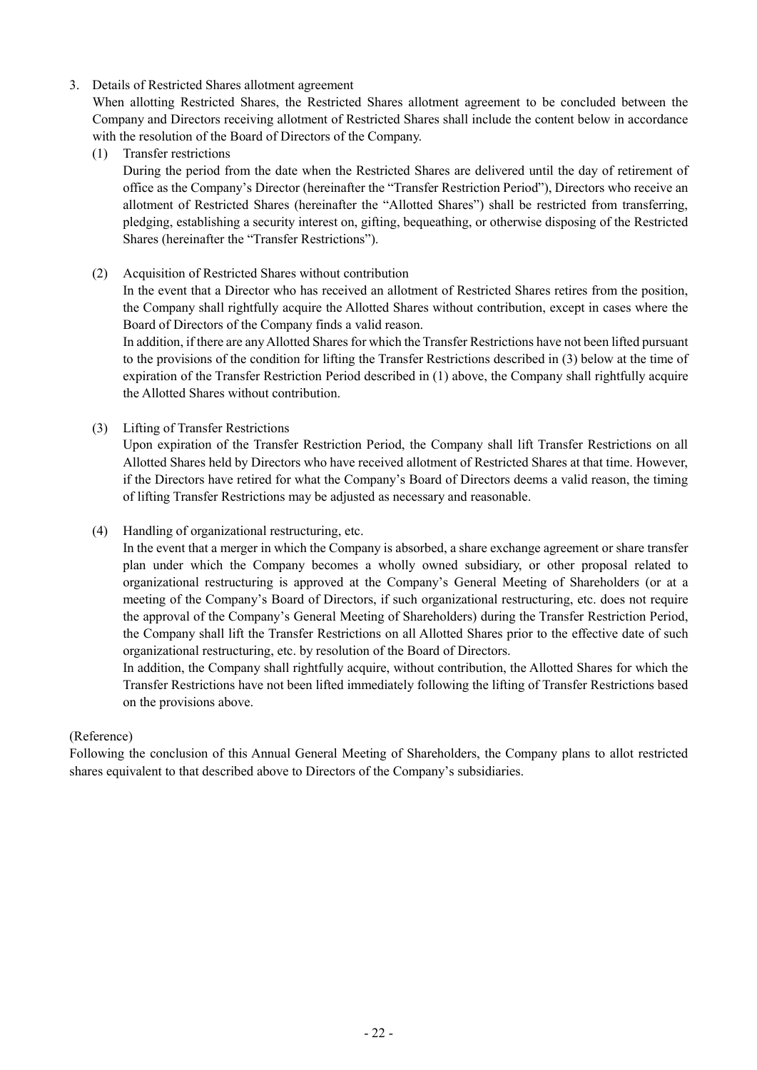## 3. Details of Restricted Shares allotment agreement

When allotting Restricted Shares, the Restricted Shares allotment agreement to be concluded between the Company and Directors receiving allotment of Restricted Shares shall include the content below in accordance with the resolution of the Board of Directors of the Company.

(1) Transfer restrictions

During the period from the date when the Restricted Shares are delivered until the day of retirement of office as the Company's Director (hereinafter the "Transfer Restriction Period"), Directors who receive an allotment of Restricted Shares (hereinafter the "Allotted Shares") shall be restricted from transferring, pledging, establishing a security interest on, gifting, bequeathing, or otherwise disposing of the Restricted Shares (hereinafter the "Transfer Restrictions").

(2) Acquisition of Restricted Shares without contribution

In the event that a Director who has received an allotment of Restricted Shares retires from the position, the Company shall rightfully acquire the Allotted Shares without contribution, except in cases where the Board of Directors of the Company finds a valid reason.

In addition, if there are any Allotted Shares for which the Transfer Restrictions have not been lifted pursuant to the provisions of the condition for lifting the Transfer Restrictions described in (3) below at the time of expiration of the Transfer Restriction Period described in (1) above, the Company shall rightfully acquire the Allotted Shares without contribution.

(3) Lifting of Transfer Restrictions

Upon expiration of the Transfer Restriction Period, the Company shall lift Transfer Restrictions on all Allotted Shares held by Directors who have received allotment of Restricted Shares at that time. However, if the Directors have retired for what the Company's Board of Directors deems a valid reason, the timing of lifting Transfer Restrictions may be adjusted as necessary and reasonable.

(4) Handling of organizational restructuring, etc.

In the event that a merger in which the Company is absorbed, a share exchange agreement or share transfer plan under which the Company becomes a wholly owned subsidiary, or other proposal related to organizational restructuring is approved at the Company's General Meeting of Shareholders (or at a meeting of the Company's Board of Directors, if such organizational restructuring, etc. does not require the approval of the Company's General Meeting of Shareholders) during the Transfer Restriction Period, the Company shall lift the Transfer Restrictions on all Allotted Shares prior to the effective date of such organizational restructuring, etc. by resolution of the Board of Directors.

In addition, the Company shall rightfully acquire, without contribution, the Allotted Shares for which the Transfer Restrictions have not been lifted immediately following the lifting of Transfer Restrictions based on the provisions above.

## (Reference)

Following the conclusion of this Annual General Meeting of Shareholders, the Company plans to allot restricted shares equivalent to that described above to Directors of the Company's subsidiaries.